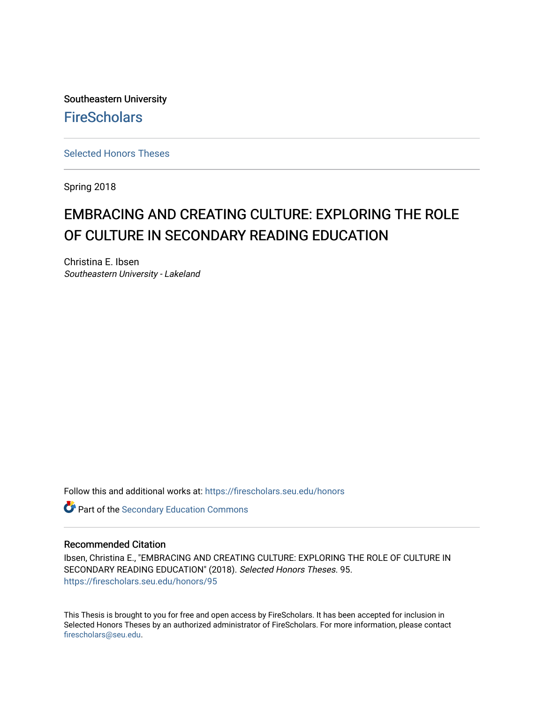Southeastern University **FireScholars** 

[Selected Honors Theses](https://firescholars.seu.edu/honors)

Spring 2018

# EMBRACING AND CREATING CULTURE: EXPLORING THE ROLE OF CULTURE IN SECONDARY READING EDUCATION

Christina E. Ibsen Southeastern University - Lakeland

Follow this and additional works at: [https://firescholars.seu.edu/honors](https://firescholars.seu.edu/honors?utm_source=firescholars.seu.edu%2Fhonors%2F95&utm_medium=PDF&utm_campaign=PDFCoverPages)

Part of the [Secondary Education Commons](http://network.bepress.com/hgg/discipline/1382?utm_source=firescholars.seu.edu%2Fhonors%2F95&utm_medium=PDF&utm_campaign=PDFCoverPages) 

#### Recommended Citation

Ibsen, Christina E., "EMBRACING AND CREATING CULTURE: EXPLORING THE ROLE OF CULTURE IN SECONDARY READING EDUCATION" (2018). Selected Honors Theses. 95. [https://firescholars.seu.edu/honors/95](https://firescholars.seu.edu/honors/95?utm_source=firescholars.seu.edu%2Fhonors%2F95&utm_medium=PDF&utm_campaign=PDFCoverPages) 

This Thesis is brought to you for free and open access by FireScholars. It has been accepted for inclusion in Selected Honors Theses by an authorized administrator of FireScholars. For more information, please contact [firescholars@seu.edu.](mailto:firescholars@seu.edu)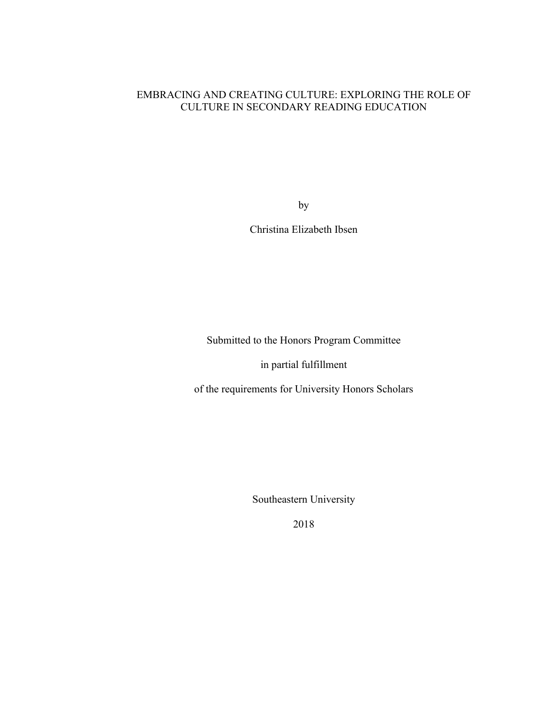## EMBRACING AND CREATING CULTURE: EXPLORING THE ROLE OF CULTURE IN SECONDARY READING EDUCATION

by

Christina Elizabeth Ibsen

Submitted to the Honors Program Committee

in partial fulfillment

of the requirements for University Honors Scholars

Southeastern University

2018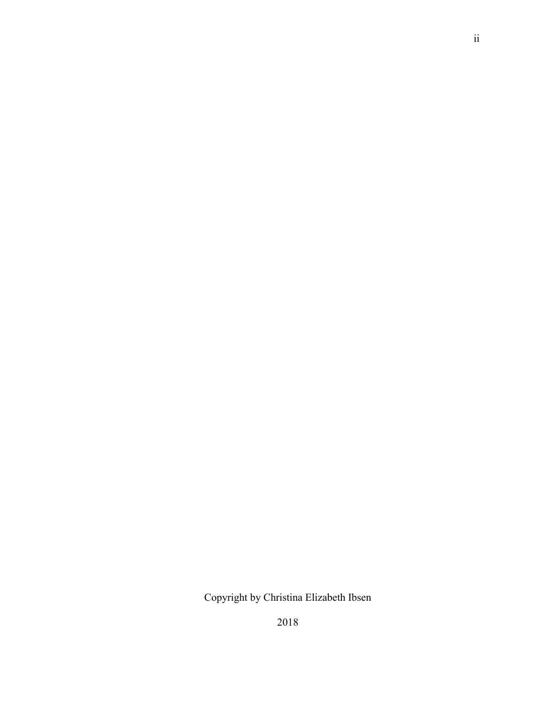Copyright by Christina Elizabeth Ibsen

2018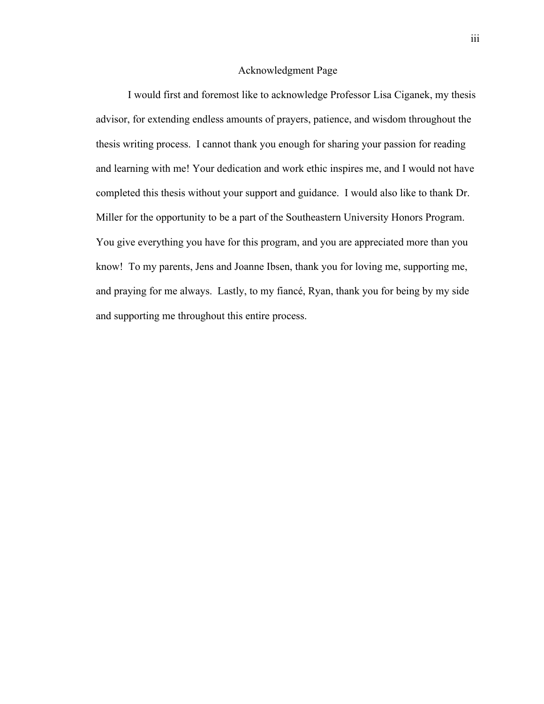#### Acknowledgment Page

I would first and foremost like to acknowledge Professor Lisa Ciganek, my thesis advisor, for extending endless amounts of prayers, patience, and wisdom throughout the thesis writing process. I cannot thank you enough for sharing your passion for reading and learning with me! Your dedication and work ethic inspires me, and I would not have completed this thesis without your support and guidance. I would also like to thank Dr. Miller for the opportunity to be a part of the Southeastern University Honors Program. You give everything you have for this program, and you are appreciated more than you know! To my parents, Jens and Joanne Ibsen, thank you for loving me, supporting me, and praying for me always. Lastly, to my fiancé, Ryan, thank you for being by my side and supporting me throughout this entire process.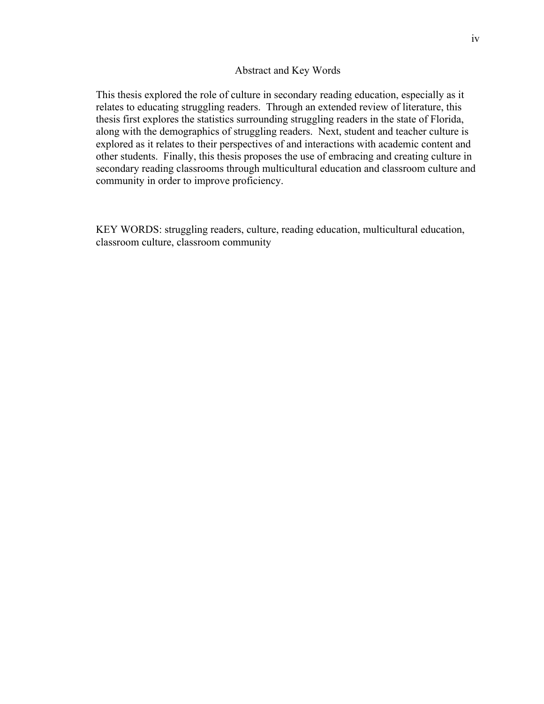#### Abstract and Key Words

This thesis explored the role of culture in secondary reading education, especially as it relates to educating struggling readers. Through an extended review of literature, this thesis first explores the statistics surrounding struggling readers in the state of Florida, along with the demographics of struggling readers. Next, student and teacher culture is explored as it relates to their perspectives of and interactions with academic content and other students. Finally, this thesis proposes the use of embracing and creating culture in secondary reading classrooms through multicultural education and classroom culture and community in order to improve proficiency.

KEY WORDS: struggling readers, culture, reading education, multicultural education, classroom culture, classroom community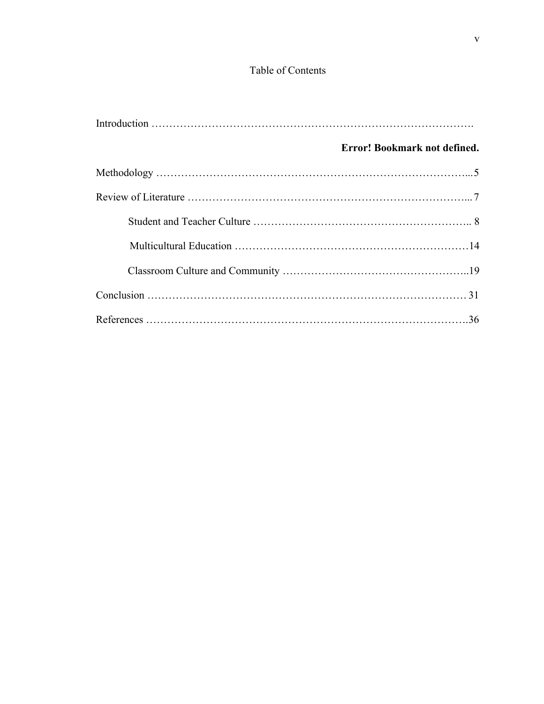# Table of Contents

| Error! Bookmark not defined. |
|------------------------------|
|                              |
|                              |
|                              |
|                              |
|                              |
|                              |
|                              |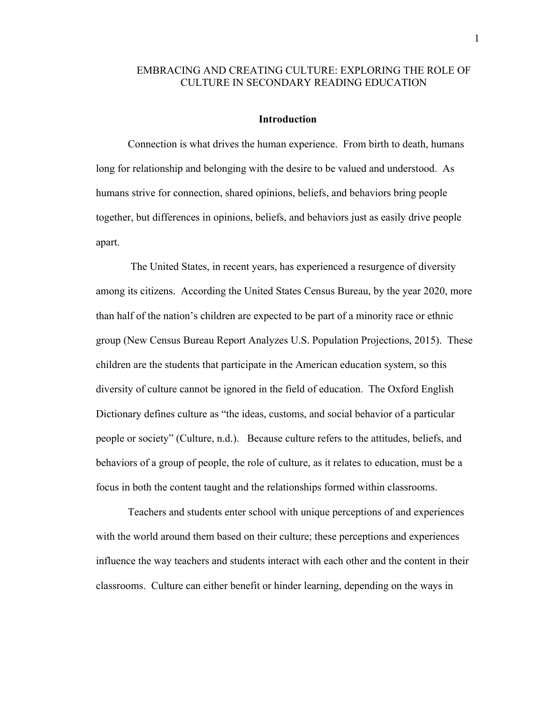### EMBRACING AND CREATING CULTURE: EXPLORING THE ROLE OF CULTURE IN SECONDARY READING EDUCATION

#### **Introduction**

Connection is what drives the human experience. From birth to death, humans long for relationship and belonging with the desire to be valued and understood. As humans strive for connection, shared opinions, beliefs, and behaviors bring people together, but differences in opinions, beliefs, and behaviors just as easily drive people apart.

The United States, in recent years, has experienced a resurgence of diversity among its citizens. According the United States Census Bureau, by the year 2020, more than half of the nation's children are expected to be part of a minority race or ethnic group (New Census Bureau Report Analyzes U.S. Population Projections, 2015). These children are the students that participate in the American education system, so this diversity of culture cannot be ignored in the field of education. The Oxford English Dictionary defines culture as "the ideas, customs, and social behavior of a particular people or society" (Culture, n.d.). Because culture refers to the attitudes, beliefs, and behaviors of a group of people, the role of culture, as it relates to education, must be a focus in both the content taught and the relationships formed within classrooms.

Teachers and students enter school with unique perceptions of and experiences with the world around them based on their culture; these perceptions and experiences influence the way teachers and students interact with each other and the content in their classrooms. Culture can either benefit or hinder learning, depending on the ways in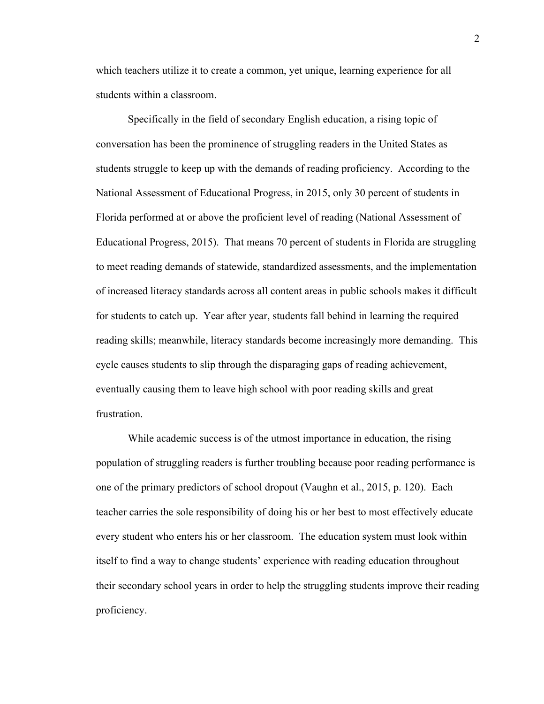which teachers utilize it to create a common, yet unique, learning experience for all students within a classroom.

Specifically in the field of secondary English education, a rising topic of conversation has been the prominence of struggling readers in the United States as students struggle to keep up with the demands of reading proficiency. According to the National Assessment of Educational Progress, in 2015, only 30 percent of students in Florida performed at or above the proficient level of reading (National Assessment of Educational Progress, 2015). That means 70 percent of students in Florida are struggling to meet reading demands of statewide, standardized assessments, and the implementation of increased literacy standards across all content areas in public schools makes it difficult for students to catch up. Year after year, students fall behind in learning the required reading skills; meanwhile, literacy standards become increasingly more demanding. This cycle causes students to slip through the disparaging gaps of reading achievement, eventually causing them to leave high school with poor reading skills and great frustration.

While academic success is of the utmost importance in education, the rising population of struggling readers is further troubling because poor reading performance is one of the primary predictors of school dropout (Vaughn et al., 2015, p. 120). Each teacher carries the sole responsibility of doing his or her best to most effectively educate every student who enters his or her classroom. The education system must look within itself to find a way to change students' experience with reading education throughout their secondary school years in order to help the struggling students improve their reading proficiency.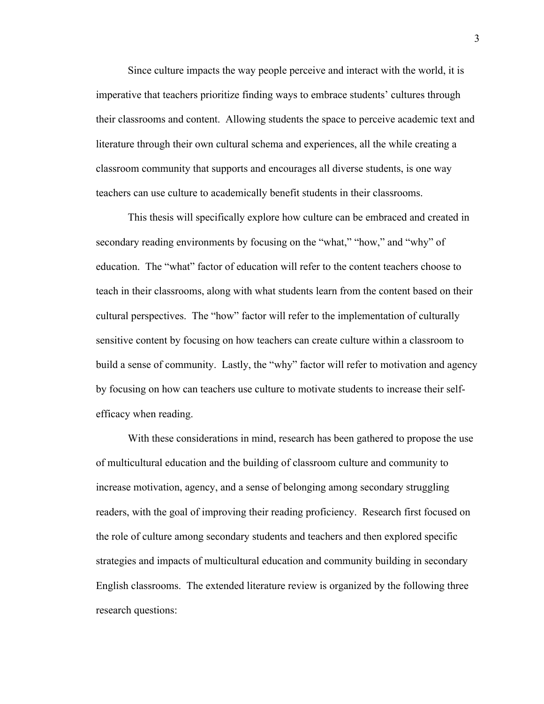Since culture impacts the way people perceive and interact with the world, it is imperative that teachers prioritize finding ways to embrace students' cultures through their classrooms and content. Allowing students the space to perceive academic text and literature through their own cultural schema and experiences, all the while creating a classroom community that supports and encourages all diverse students, is one way teachers can use culture to academically benefit students in their classrooms.

This thesis will specifically explore how culture can be embraced and created in secondary reading environments by focusing on the "what," "how," and "why" of education. The "what" factor of education will refer to the content teachers choose to teach in their classrooms, along with what students learn from the content based on their cultural perspectives. The "how" factor will refer to the implementation of culturally sensitive content by focusing on how teachers can create culture within a classroom to build a sense of community. Lastly, the "why" factor will refer to motivation and agency by focusing on how can teachers use culture to motivate students to increase their selfefficacy when reading.

With these considerations in mind, research has been gathered to propose the use of multicultural education and the building of classroom culture and community to increase motivation, agency, and a sense of belonging among secondary struggling readers, with the goal of improving their reading proficiency. Research first focused on the role of culture among secondary students and teachers and then explored specific strategies and impacts of multicultural education and community building in secondary English classrooms. The extended literature review is organized by the following three research questions: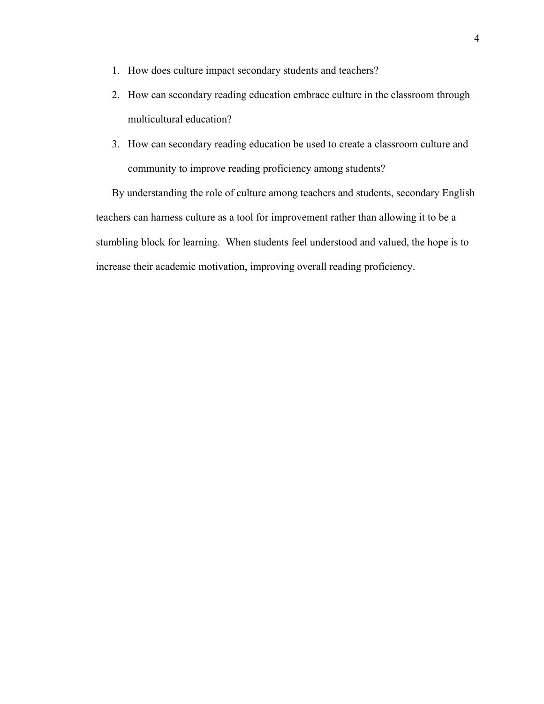- 1. How does culture impact secondary students and teachers?
- 2. How can secondary reading education embrace culture in the classroom through multicultural education?
- 3. How can secondary reading education be used to create a classroom culture and community to improve reading proficiency among students?

By understanding the role of culture among teachers and students, secondary English teachers can harness culture as a tool for improvement rather than allowing it to be a stumbling block for learning. When students feel understood and valued, the hope is to increase their academic motivation, improving overall reading proficiency.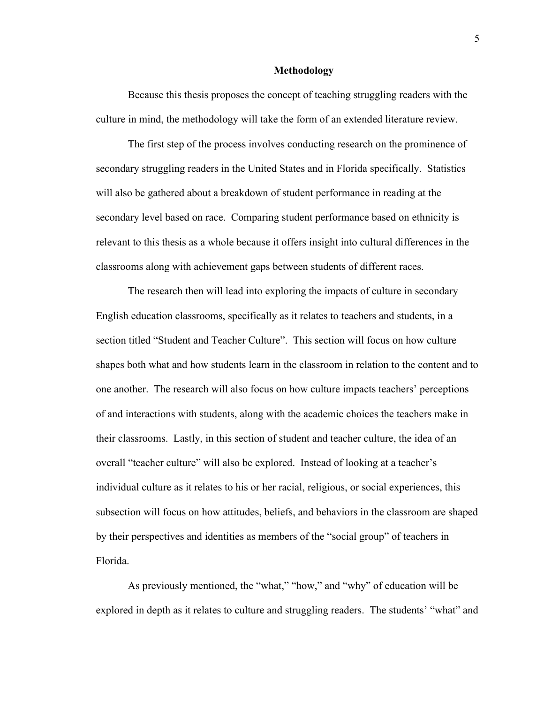#### **Methodology**

Because this thesis proposes the concept of teaching struggling readers with the culture in mind, the methodology will take the form of an extended literature review.

The first step of the process involves conducting research on the prominence of secondary struggling readers in the United States and in Florida specifically. Statistics will also be gathered about a breakdown of student performance in reading at the secondary level based on race. Comparing student performance based on ethnicity is relevant to this thesis as a whole because it offers insight into cultural differences in the classrooms along with achievement gaps between students of different races.

The research then will lead into exploring the impacts of culture in secondary English education classrooms, specifically as it relates to teachers and students, in a section titled "Student and Teacher Culture". This section will focus on how culture shapes both what and how students learn in the classroom in relation to the content and to one another. The research will also focus on how culture impacts teachers' perceptions of and interactions with students, along with the academic choices the teachers make in their classrooms. Lastly, in this section of student and teacher culture, the idea of an overall "teacher culture" will also be explored. Instead of looking at a teacher's individual culture as it relates to his or her racial, religious, or social experiences, this subsection will focus on how attitudes, beliefs, and behaviors in the classroom are shaped by their perspectives and identities as members of the "social group" of teachers in Florida.

As previously mentioned, the "what," "how," and "why" of education will be explored in depth as it relates to culture and struggling readers. The students' "what" and

5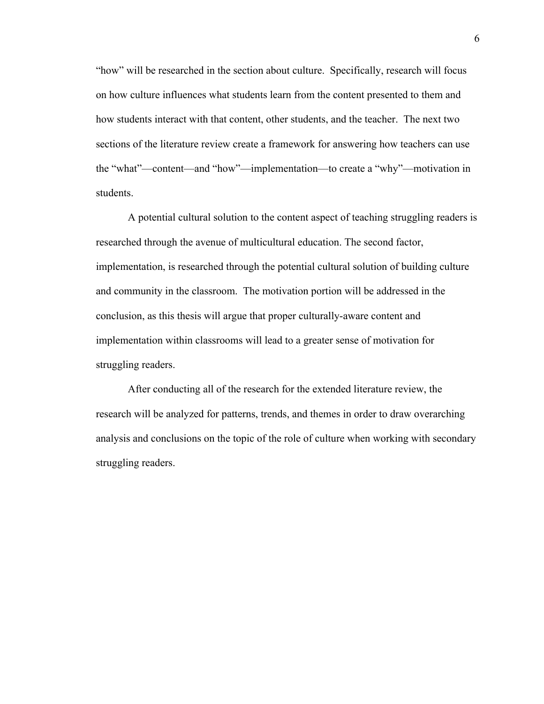"how" will be researched in the section about culture. Specifically, research will focus on how culture influences what students learn from the content presented to them and how students interact with that content, other students, and the teacher. The next two sections of the literature review create a framework for answering how teachers can use the "what"—content—and "how"—implementation—to create a "why"—motivation in students.

A potential cultural solution to the content aspect of teaching struggling readers is researched through the avenue of multicultural education. The second factor, implementation, is researched through the potential cultural solution of building culture and community in the classroom. The motivation portion will be addressed in the conclusion, as this thesis will argue that proper culturally-aware content and implementation within classrooms will lead to a greater sense of motivation for struggling readers.

After conducting all of the research for the extended literature review, the research will be analyzed for patterns, trends, and themes in order to draw overarching analysis and conclusions on the topic of the role of culture when working with secondary struggling readers.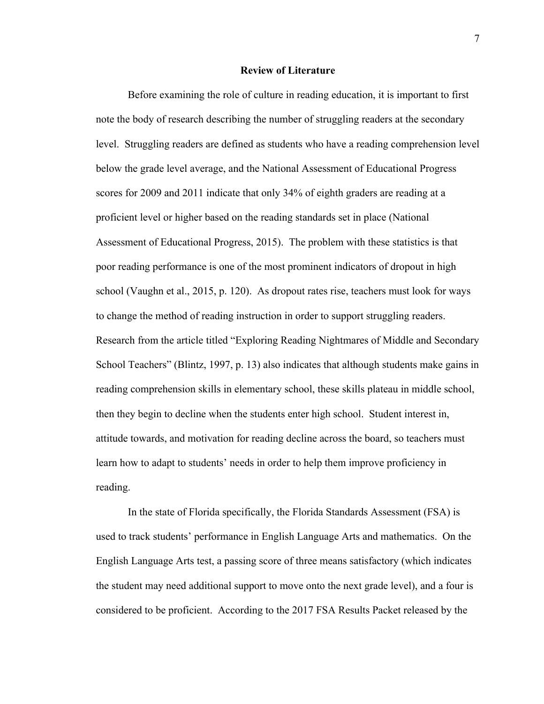#### **Review of Literature**

Before examining the role of culture in reading education, it is important to first note the body of research describing the number of struggling readers at the secondary level. Struggling readers are defined as students who have a reading comprehension level below the grade level average, and the National Assessment of Educational Progress scores for 2009 and 2011 indicate that only 34% of eighth graders are reading at a proficient level or higher based on the reading standards set in place (National Assessment of Educational Progress, 2015). The problem with these statistics is that poor reading performance is one of the most prominent indicators of dropout in high school (Vaughn et al., 2015, p. 120). As dropout rates rise, teachers must look for ways to change the method of reading instruction in order to support struggling readers. Research from the article titled "Exploring Reading Nightmares of Middle and Secondary School Teachers" (Blintz, 1997, p. 13) also indicates that although students make gains in reading comprehension skills in elementary school, these skills plateau in middle school, then they begin to decline when the students enter high school. Student interest in, attitude towards, and motivation for reading decline across the board, so teachers must learn how to adapt to students' needs in order to help them improve proficiency in reading.

In the state of Florida specifically, the Florida Standards Assessment (FSA) is used to track students' performance in English Language Arts and mathematics. On the English Language Arts test, a passing score of three means satisfactory (which indicates the student may need additional support to move onto the next grade level), and a four is considered to be proficient. According to the 2017 FSA Results Packet released by the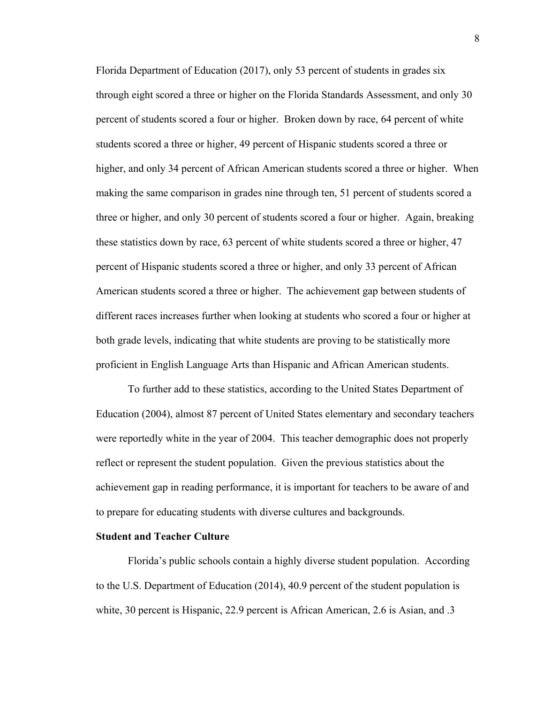Florida Department of Education (2017), only 53 percent of students in grades six through eight scored a three or higher on the Florida Standards Assessment, and only 30 percent of students scored a four or higher. Broken down by race, 64 percent of white students scored a three or higher, 49 percent of Hispanic students scored a three or higher, and only 34 percent of African American students scored a three or higher. When making the same comparison in grades nine through ten, 51 percent of students scored a three or higher, and only 30 percent of students scored a four or higher. Again, breaking these statistics down by race, 63 percent of white students scored a three or higher, 47 percent of Hispanic students scored a three or higher, and only 33 percent of African American students scored a three or higher. The achievement gap between students of different races increases further when looking at students who scored a four or higher at both grade levels, indicating that white students are proving to be statistically more proficient in English Language Arts than Hispanic and African American students.

To further add to these statistics, according to the United States Department of Education (2004), almost 87 percent of United States elementary and secondary teachers were reportedly white in the year of 2004. This teacher demographic does not properly reflect or represent the student population. Given the previous statistics about the achievement gap in reading performance, it is important for teachers to be aware of and to prepare for educating students with diverse cultures and backgrounds.

#### **Student and Teacher Culture**

Florida's public schools contain a highly diverse student population. According to the U.S. Department of Education (2014), 40.9 percent of the student population is white, 30 percent is Hispanic, 22.9 percent is African American, 2.6 is Asian, and .3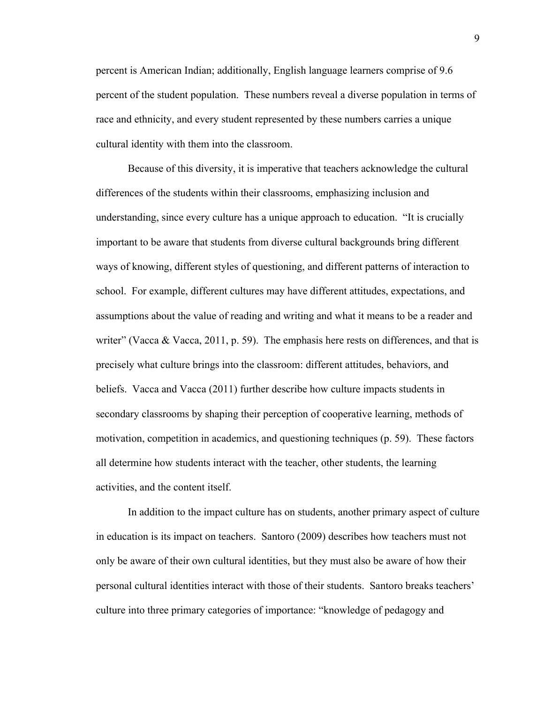percent is American Indian; additionally, English language learners comprise of 9.6 percent of the student population. These numbers reveal a diverse population in terms of race and ethnicity, and every student represented by these numbers carries a unique cultural identity with them into the classroom.

Because of this diversity, it is imperative that teachers acknowledge the cultural differences of the students within their classrooms, emphasizing inclusion and understanding, since every culture has a unique approach to education. "It is crucially important to be aware that students from diverse cultural backgrounds bring different ways of knowing, different styles of questioning, and different patterns of interaction to school. For example, different cultures may have different attitudes, expectations, and assumptions about the value of reading and writing and what it means to be a reader and writer" (Vacca & Vacca, 2011, p. 59). The emphasis here rests on differences, and that is precisely what culture brings into the classroom: different attitudes, behaviors, and beliefs. Vacca and Vacca (2011) further describe how culture impacts students in secondary classrooms by shaping their perception of cooperative learning, methods of motivation, competition in academics, and questioning techniques (p. 59). These factors all determine how students interact with the teacher, other students, the learning activities, and the content itself.

In addition to the impact culture has on students, another primary aspect of culture in education is its impact on teachers. Santoro (2009) describes how teachers must not only be aware of their own cultural identities, but they must also be aware of how their personal cultural identities interact with those of their students. Santoro breaks teachers' culture into three primary categories of importance: "knowledge of pedagogy and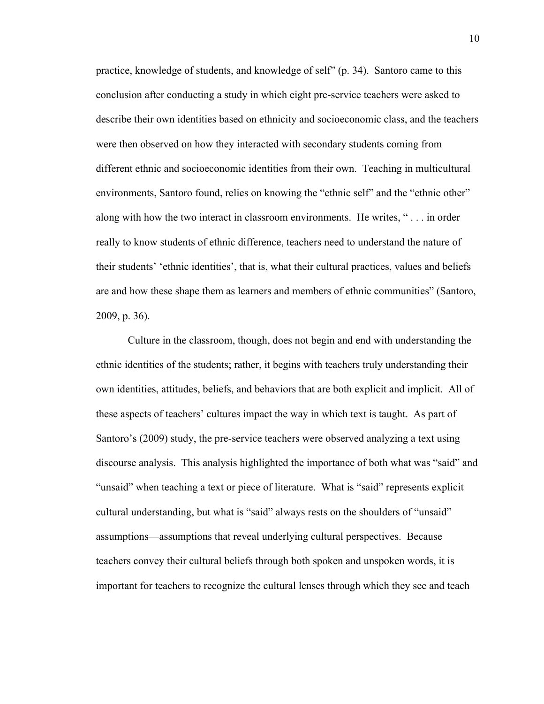practice, knowledge of students, and knowledge of self" (p. 34). Santoro came to this conclusion after conducting a study in which eight pre-service teachers were asked to describe their own identities based on ethnicity and socioeconomic class, and the teachers were then observed on how they interacted with secondary students coming from different ethnic and socioeconomic identities from their own. Teaching in multicultural environments, Santoro found, relies on knowing the "ethnic self" and the "ethnic other" along with how the two interact in classroom environments. He writes, " . . . in order really to know students of ethnic difference, teachers need to understand the nature of their students' 'ethnic identities', that is, what their cultural practices, values and beliefs are and how these shape them as learners and members of ethnic communities" (Santoro, 2009, p. 36).

Culture in the classroom, though, does not begin and end with understanding the ethnic identities of the students; rather, it begins with teachers truly understanding their own identities, attitudes, beliefs, and behaviors that are both explicit and implicit. All of these aspects of teachers' cultures impact the way in which text is taught. As part of Santoro's (2009) study, the pre-service teachers were observed analyzing a text using discourse analysis. This analysis highlighted the importance of both what was "said" and "unsaid" when teaching a text or piece of literature. What is "said" represents explicit cultural understanding, but what is "said" always rests on the shoulders of "unsaid" assumptions—assumptions that reveal underlying cultural perspectives. Because teachers convey their cultural beliefs through both spoken and unspoken words, it is important for teachers to recognize the cultural lenses through which they see and teach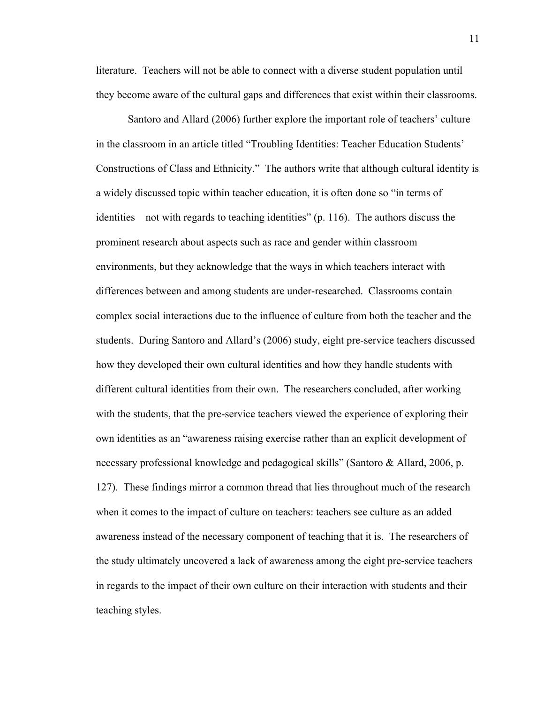literature. Teachers will not be able to connect with a diverse student population until they become aware of the cultural gaps and differences that exist within their classrooms.

Santoro and Allard (2006) further explore the important role of teachers' culture in the classroom in an article titled "Troubling Identities: Teacher Education Students' Constructions of Class and Ethnicity." The authors write that although cultural identity is a widely discussed topic within teacher education, it is often done so "in terms of identities—not with regards to teaching identities" (p. 116). The authors discuss the prominent research about aspects such as race and gender within classroom environments, but they acknowledge that the ways in which teachers interact with differences between and among students are under-researched. Classrooms contain complex social interactions due to the influence of culture from both the teacher and the students. During Santoro and Allard's (2006) study, eight pre-service teachers discussed how they developed their own cultural identities and how they handle students with different cultural identities from their own. The researchers concluded, after working with the students, that the pre-service teachers viewed the experience of exploring their own identities as an "awareness raising exercise rather than an explicit development of necessary professional knowledge and pedagogical skills" (Santoro & Allard, 2006, p. 127). These findings mirror a common thread that lies throughout much of the research when it comes to the impact of culture on teachers: teachers see culture as an added awareness instead of the necessary component of teaching that it is. The researchers of the study ultimately uncovered a lack of awareness among the eight pre-service teachers in regards to the impact of their own culture on their interaction with students and their teaching styles.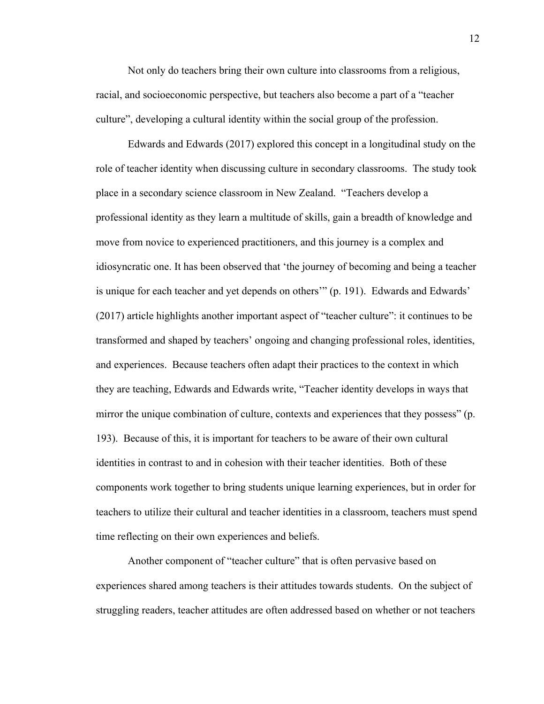Not only do teachers bring their own culture into classrooms from a religious, racial, and socioeconomic perspective, but teachers also become a part of a "teacher culture", developing a cultural identity within the social group of the profession.

Edwards and Edwards (2017) explored this concept in a longitudinal study on the role of teacher identity when discussing culture in secondary classrooms. The study took place in a secondary science classroom in New Zealand. "Teachers develop a professional identity as they learn a multitude of skills, gain a breadth of knowledge and move from novice to experienced practitioners, and this journey is a complex and idiosyncratic one. It has been observed that 'the journey of becoming and being a teacher is unique for each teacher and yet depends on others'" (p. 191). Edwards and Edwards' (2017) article highlights another important aspect of "teacher culture": it continues to be transformed and shaped by teachers' ongoing and changing professional roles, identities, and experiences. Because teachers often adapt their practices to the context in which they are teaching, Edwards and Edwards write, "Teacher identity develops in ways that mirror the unique combination of culture, contexts and experiences that they possess" (p. 193). Because of this, it is important for teachers to be aware of their own cultural identities in contrast to and in cohesion with their teacher identities. Both of these components work together to bring students unique learning experiences, but in order for teachers to utilize their cultural and teacher identities in a classroom, teachers must spend time reflecting on their own experiences and beliefs.

Another component of "teacher culture" that is often pervasive based on experiences shared among teachers is their attitudes towards students. On the subject of struggling readers, teacher attitudes are often addressed based on whether or not teachers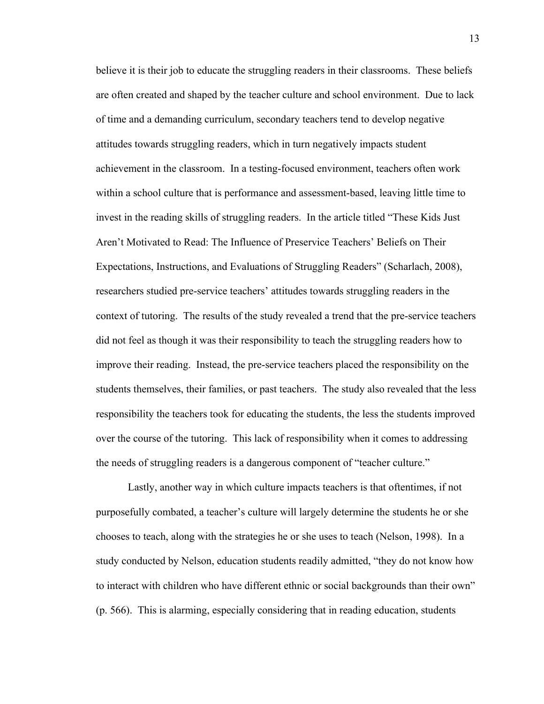believe it is their job to educate the struggling readers in their classrooms. These beliefs are often created and shaped by the teacher culture and school environment. Due to lack of time and a demanding curriculum, secondary teachers tend to develop negative attitudes towards struggling readers, which in turn negatively impacts student achievement in the classroom. In a testing-focused environment, teachers often work within a school culture that is performance and assessment-based, leaving little time to invest in the reading skills of struggling readers. In the article titled "These Kids Just Aren't Motivated to Read: The Influence of Preservice Teachers' Beliefs on Their Expectations, Instructions, and Evaluations of Struggling Readers" (Scharlach, 2008), researchers studied pre-service teachers' attitudes towards struggling readers in the context of tutoring. The results of the study revealed a trend that the pre-service teachers did not feel as though it was their responsibility to teach the struggling readers how to improve their reading. Instead, the pre-service teachers placed the responsibility on the students themselves, their families, or past teachers. The study also revealed that the less responsibility the teachers took for educating the students, the less the students improved over the course of the tutoring. This lack of responsibility when it comes to addressing the needs of struggling readers is a dangerous component of "teacher culture."

Lastly, another way in which culture impacts teachers is that oftentimes, if not purposefully combated, a teacher's culture will largely determine the students he or she chooses to teach, along with the strategies he or she uses to teach (Nelson, 1998). In a study conducted by Nelson, education students readily admitted, "they do not know how to interact with children who have different ethnic or social backgrounds than their own" (p. 566). This is alarming, especially considering that in reading education, students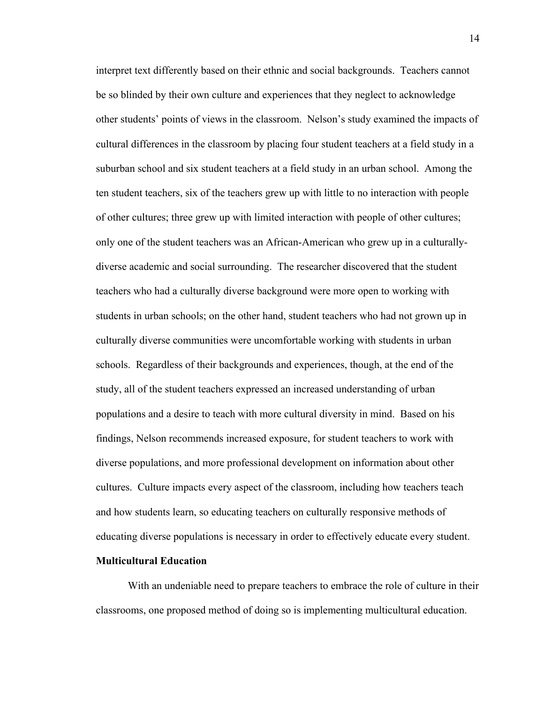interpret text differently based on their ethnic and social backgrounds. Teachers cannot be so blinded by their own culture and experiences that they neglect to acknowledge other students' points of views in the classroom. Nelson's study examined the impacts of cultural differences in the classroom by placing four student teachers at a field study in a suburban school and six student teachers at a field study in an urban school. Among the ten student teachers, six of the teachers grew up with little to no interaction with people of other cultures; three grew up with limited interaction with people of other cultures; only one of the student teachers was an African-American who grew up in a culturallydiverse academic and social surrounding. The researcher discovered that the student teachers who had a culturally diverse background were more open to working with students in urban schools; on the other hand, student teachers who had not grown up in culturally diverse communities were uncomfortable working with students in urban schools. Regardless of their backgrounds and experiences, though, at the end of the study, all of the student teachers expressed an increased understanding of urban populations and a desire to teach with more cultural diversity in mind. Based on his findings, Nelson recommends increased exposure, for student teachers to work with diverse populations, and more professional development on information about other cultures. Culture impacts every aspect of the classroom, including how teachers teach and how students learn, so educating teachers on culturally responsive methods of educating diverse populations is necessary in order to effectively educate every student.

#### **Multicultural Education**

With an undeniable need to prepare teachers to embrace the role of culture in their classrooms, one proposed method of doing so is implementing multicultural education.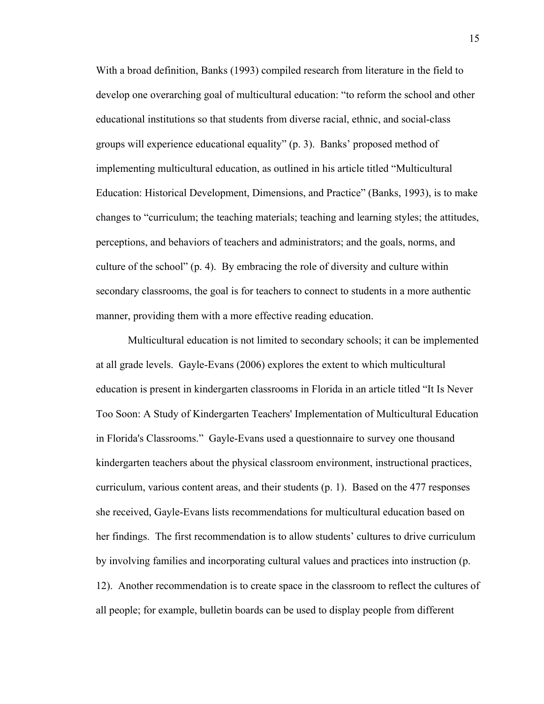With a broad definition, Banks (1993) compiled research from literature in the field to develop one overarching goal of multicultural education: "to reform the school and other educational institutions so that students from diverse racial, ethnic, and social-class groups will experience educational equality" (p. 3). Banks' proposed method of implementing multicultural education, as outlined in his article titled "Multicultural Education: Historical Development, Dimensions, and Practice" (Banks, 1993), is to make changes to "curriculum; the teaching materials; teaching and learning styles; the attitudes, perceptions, and behaviors of teachers and administrators; and the goals, norms, and culture of the school" (p. 4). By embracing the role of diversity and culture within secondary classrooms, the goal is for teachers to connect to students in a more authentic manner, providing them with a more effective reading education.

Multicultural education is not limited to secondary schools; it can be implemented at all grade levels. Gayle-Evans (2006) explores the extent to which multicultural education is present in kindergarten classrooms in Florida in an article titled "It Is Never Too Soon: A Study of Kindergarten Teachers' Implementation of Multicultural Education in Florida's Classrooms." Gayle-Evans used a questionnaire to survey one thousand kindergarten teachers about the physical classroom environment, instructional practices, curriculum, various content areas, and their students (p. 1). Based on the 477 responses she received, Gayle-Evans lists recommendations for multicultural education based on her findings. The first recommendation is to allow students' cultures to drive curriculum by involving families and incorporating cultural values and practices into instruction (p. 12). Another recommendation is to create space in the classroom to reflect the cultures of all people; for example, bulletin boards can be used to display people from different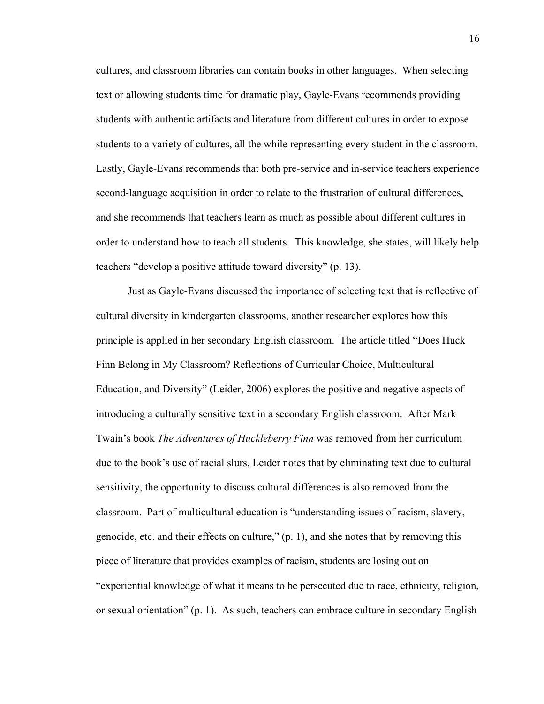cultures, and classroom libraries can contain books in other languages. When selecting text or allowing students time for dramatic play, Gayle-Evans recommends providing students with authentic artifacts and literature from different cultures in order to expose students to a variety of cultures, all the while representing every student in the classroom. Lastly, Gayle-Evans recommends that both pre-service and in-service teachers experience second-language acquisition in order to relate to the frustration of cultural differences, and she recommends that teachers learn as much as possible about different cultures in order to understand how to teach all students. This knowledge, she states, will likely help teachers "develop a positive attitude toward diversity" (p. 13).

Just as Gayle-Evans discussed the importance of selecting text that is reflective of cultural diversity in kindergarten classrooms, another researcher explores how this principle is applied in her secondary English classroom. The article titled "Does Huck Finn Belong in My Classroom? Reflections of Curricular Choice, Multicultural Education, and Diversity" (Leider, 2006) explores the positive and negative aspects of introducing a culturally sensitive text in a secondary English classroom. After Mark Twain's book *The Adventures of Huckleberry Finn* was removed from her curriculum due to the book's use of racial slurs, Leider notes that by eliminating text due to cultural sensitivity, the opportunity to discuss cultural differences is also removed from the classroom. Part of multicultural education is "understanding issues of racism, slavery, genocide, etc. and their effects on culture," (p. 1), and she notes that by removing this piece of literature that provides examples of racism, students are losing out on "experiential knowledge of what it means to be persecuted due to race, ethnicity, religion, or sexual orientation" (p. 1). As such, teachers can embrace culture in secondary English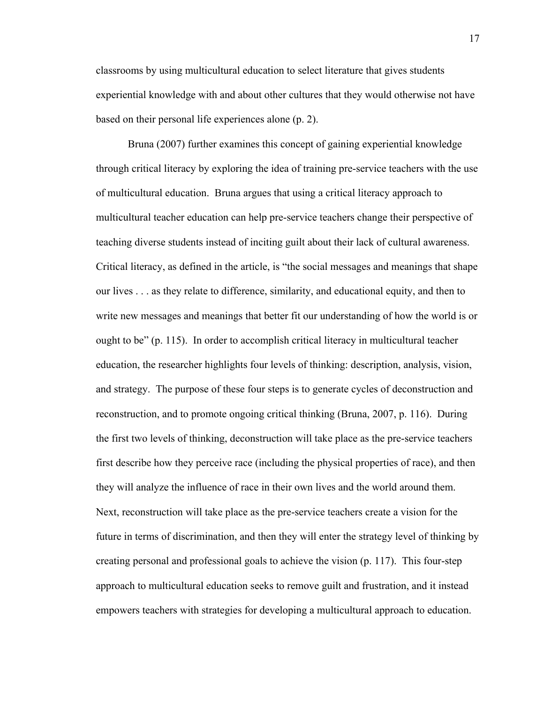classrooms by using multicultural education to select literature that gives students experiential knowledge with and about other cultures that they would otherwise not have based on their personal life experiences alone (p. 2).

Bruna (2007) further examines this concept of gaining experiential knowledge through critical literacy by exploring the idea of training pre-service teachers with the use of multicultural education. Bruna argues that using a critical literacy approach to multicultural teacher education can help pre-service teachers change their perspective of teaching diverse students instead of inciting guilt about their lack of cultural awareness. Critical literacy, as defined in the article, is "the social messages and meanings that shape our lives . . . as they relate to difference, similarity, and educational equity, and then to write new messages and meanings that better fit our understanding of how the world is or ought to be" (p. 115). In order to accomplish critical literacy in multicultural teacher education, the researcher highlights four levels of thinking: description, analysis, vision, and strategy. The purpose of these four steps is to generate cycles of deconstruction and reconstruction, and to promote ongoing critical thinking (Bruna, 2007, p. 116). During the first two levels of thinking, deconstruction will take place as the pre-service teachers first describe how they perceive race (including the physical properties of race), and then they will analyze the influence of race in their own lives and the world around them. Next, reconstruction will take place as the pre-service teachers create a vision for the future in terms of discrimination, and then they will enter the strategy level of thinking by creating personal and professional goals to achieve the vision (p. 117). This four-step approach to multicultural education seeks to remove guilt and frustration, and it instead empowers teachers with strategies for developing a multicultural approach to education.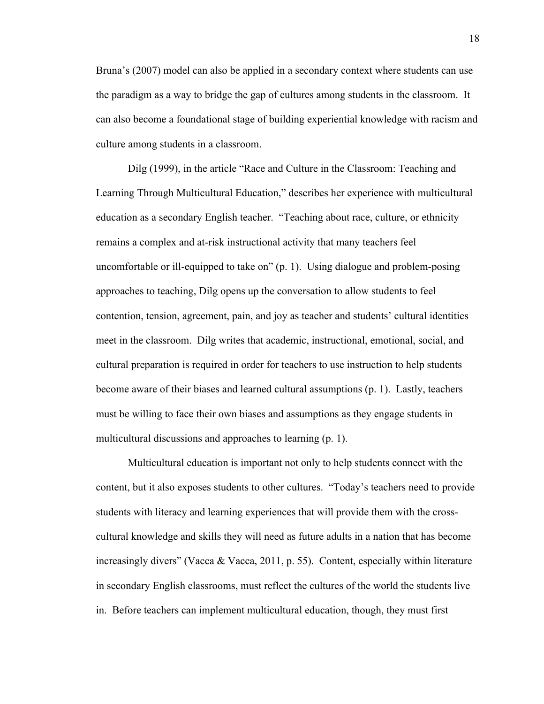Bruna's (2007) model can also be applied in a secondary context where students can use the paradigm as a way to bridge the gap of cultures among students in the classroom. It can also become a foundational stage of building experiential knowledge with racism and culture among students in a classroom.

Dilg (1999), in the article "Race and Culture in the Classroom: Teaching and Learning Through Multicultural Education," describes her experience with multicultural education as a secondary English teacher. "Teaching about race, culture, or ethnicity remains a complex and at-risk instructional activity that many teachers feel uncomfortable or ill-equipped to take on" (p. 1). Using dialogue and problem-posing approaches to teaching, Dilg opens up the conversation to allow students to feel contention, tension, agreement, pain, and joy as teacher and students' cultural identities meet in the classroom. Dilg writes that academic, instructional, emotional, social, and cultural preparation is required in order for teachers to use instruction to help students become aware of their biases and learned cultural assumptions (p. 1). Lastly, teachers must be willing to face their own biases and assumptions as they engage students in multicultural discussions and approaches to learning (p. 1).

Multicultural education is important not only to help students connect with the content, but it also exposes students to other cultures. "Today's teachers need to provide students with literacy and learning experiences that will provide them with the crosscultural knowledge and skills they will need as future adults in a nation that has become increasingly divers" (Vacca & Vacca, 2011, p. 55). Content, especially within literature in secondary English classrooms, must reflect the cultures of the world the students live in. Before teachers can implement multicultural education, though, they must first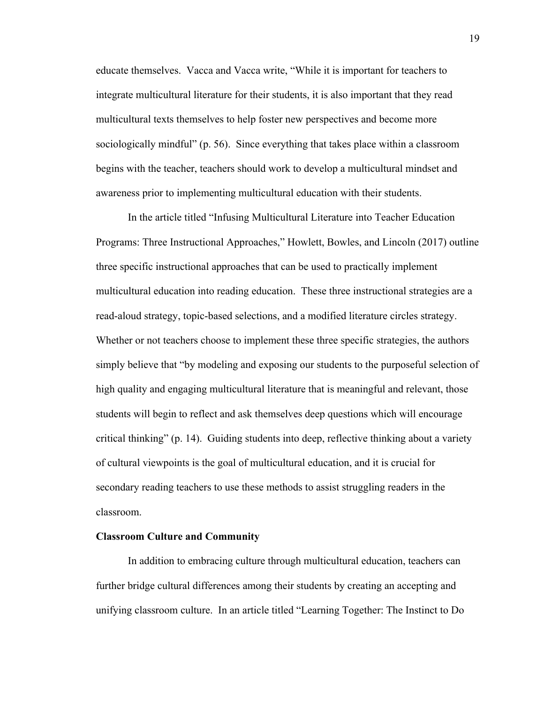educate themselves. Vacca and Vacca write, "While it is important for teachers to integrate multicultural literature for their students, it is also important that they read multicultural texts themselves to help foster new perspectives and become more sociologically mindful" (p. 56). Since everything that takes place within a classroom begins with the teacher, teachers should work to develop a multicultural mindset and awareness prior to implementing multicultural education with their students.

In the article titled "Infusing Multicultural Literature into Teacher Education Programs: Three Instructional Approaches," Howlett, Bowles, and Lincoln (2017) outline three specific instructional approaches that can be used to practically implement multicultural education into reading education. These three instructional strategies are a read-aloud strategy, topic-based selections, and a modified literature circles strategy. Whether or not teachers choose to implement these three specific strategies, the authors simply believe that "by modeling and exposing our students to the purposeful selection of high quality and engaging multicultural literature that is meaningful and relevant, those students will begin to reflect and ask themselves deep questions which will encourage critical thinking" (p. 14). Guiding students into deep, reflective thinking about a variety of cultural viewpoints is the goal of multicultural education, and it is crucial for secondary reading teachers to use these methods to assist struggling readers in the classroom.

#### **Classroom Culture and Community**

In addition to embracing culture through multicultural education, teachers can further bridge cultural differences among their students by creating an accepting and unifying classroom culture. In an article titled "Learning Together: The Instinct to Do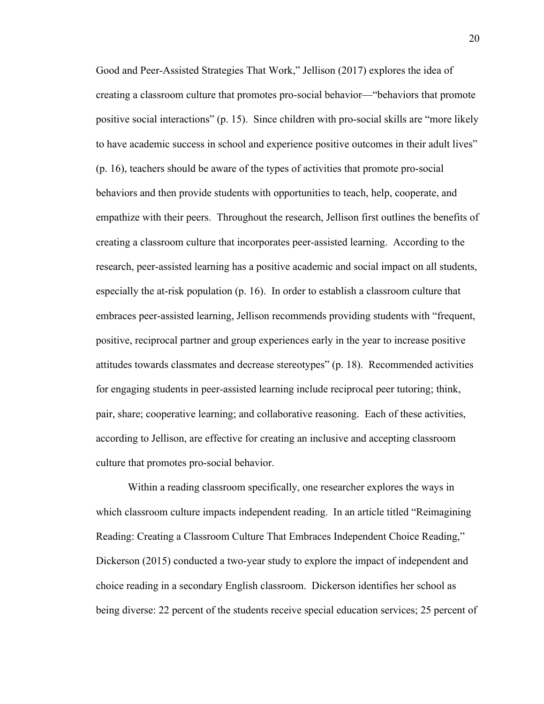Good and Peer-Assisted Strategies That Work," Jellison (2017) explores the idea of creating a classroom culture that promotes pro-social behavior—"behaviors that promote positive social interactions" (p. 15). Since children with pro-social skills are "more likely to have academic success in school and experience positive outcomes in their adult lives" (p. 16), teachers should be aware of the types of activities that promote pro-social behaviors and then provide students with opportunities to teach, help, cooperate, and empathize with their peers. Throughout the research, Jellison first outlines the benefits of creating a classroom culture that incorporates peer-assisted learning. According to the research, peer-assisted learning has a positive academic and social impact on all students, especially the at-risk population (p. 16). In order to establish a classroom culture that embraces peer-assisted learning, Jellison recommends providing students with "frequent, positive, reciprocal partner and group experiences early in the year to increase positive attitudes towards classmates and decrease stereotypes" (p. 18). Recommended activities for engaging students in peer-assisted learning include reciprocal peer tutoring; think, pair, share; cooperative learning; and collaborative reasoning. Each of these activities, according to Jellison, are effective for creating an inclusive and accepting classroom culture that promotes pro-social behavior.

Within a reading classroom specifically, one researcher explores the ways in which classroom culture impacts independent reading. In an article titled "Reimagining Reading: Creating a Classroom Culture That Embraces Independent Choice Reading," Dickerson (2015) conducted a two-year study to explore the impact of independent and choice reading in a secondary English classroom. Dickerson identifies her school as being diverse: 22 percent of the students receive special education services; 25 percent of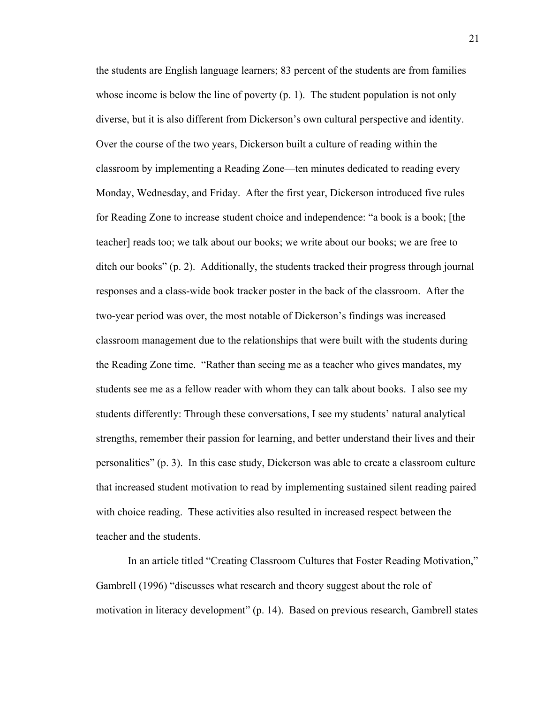the students are English language learners; 83 percent of the students are from families whose income is below the line of poverty (p. 1). The student population is not only diverse, but it is also different from Dickerson's own cultural perspective and identity. Over the course of the two years, Dickerson built a culture of reading within the classroom by implementing a Reading Zone—ten minutes dedicated to reading every Monday, Wednesday, and Friday. After the first year, Dickerson introduced five rules for Reading Zone to increase student choice and independence: "a book is a book; [the teacher] reads too; we talk about our books; we write about our books; we are free to ditch our books" (p. 2). Additionally, the students tracked their progress through journal responses and a class-wide book tracker poster in the back of the classroom. After the two-year period was over, the most notable of Dickerson's findings was increased classroom management due to the relationships that were built with the students during the Reading Zone time. "Rather than seeing me as a teacher who gives mandates, my students see me as a fellow reader with whom they can talk about books. I also see my students differently: Through these conversations, I see my students' natural analytical strengths, remember their passion for learning, and better understand their lives and their personalities" (p. 3). In this case study, Dickerson was able to create a classroom culture that increased student motivation to read by implementing sustained silent reading paired with choice reading. These activities also resulted in increased respect between the teacher and the students.

In an article titled "Creating Classroom Cultures that Foster Reading Motivation," Gambrell (1996) "discusses what research and theory suggest about the role of motivation in literacy development" (p. 14). Based on previous research, Gambrell states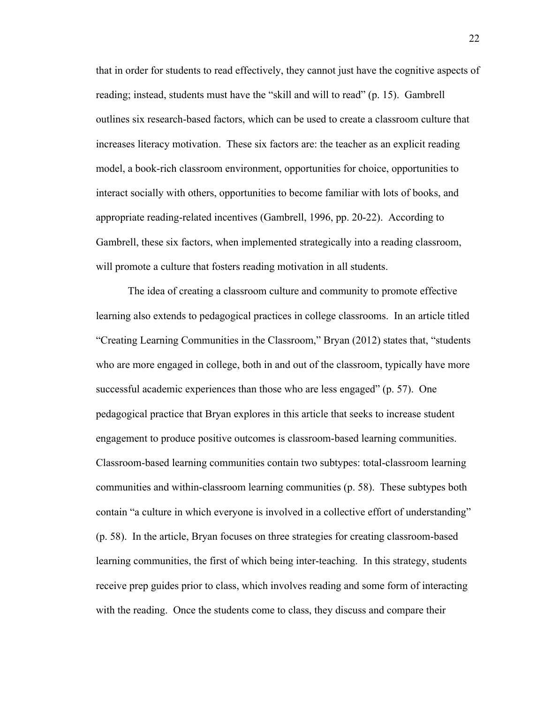that in order for students to read effectively, they cannot just have the cognitive aspects of reading; instead, students must have the "skill and will to read" (p. 15). Gambrell outlines six research-based factors, which can be used to create a classroom culture that increases literacy motivation. These six factors are: the teacher as an explicit reading model, a book-rich classroom environment, opportunities for choice, opportunities to interact socially with others, opportunities to become familiar with lots of books, and appropriate reading-related incentives (Gambrell, 1996, pp. 20-22). According to Gambrell, these six factors, when implemented strategically into a reading classroom, will promote a culture that fosters reading motivation in all students.

The idea of creating a classroom culture and community to promote effective learning also extends to pedagogical practices in college classrooms. In an article titled "Creating Learning Communities in the Classroom," Bryan (2012) states that, "students who are more engaged in college, both in and out of the classroom, typically have more successful academic experiences than those who are less engaged" (p. 57). One pedagogical practice that Bryan explores in this article that seeks to increase student engagement to produce positive outcomes is classroom-based learning communities. Classroom-based learning communities contain two subtypes: total-classroom learning communities and within-classroom learning communities (p. 58). These subtypes both contain "a culture in which everyone is involved in a collective effort of understanding" (p. 58). In the article, Bryan focuses on three strategies for creating classroom-based learning communities, the first of which being inter-teaching. In this strategy, students receive prep guides prior to class, which involves reading and some form of interacting with the reading. Once the students come to class, they discuss and compare their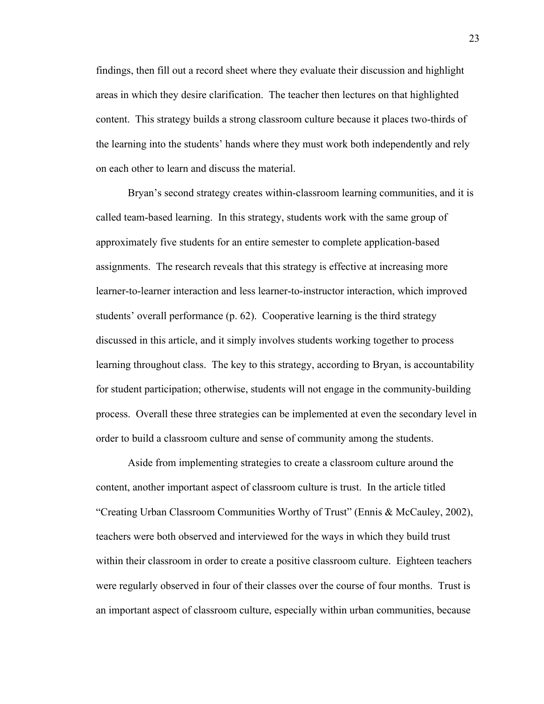findings, then fill out a record sheet where they evaluate their discussion and highlight areas in which they desire clarification. The teacher then lectures on that highlighted content. This strategy builds a strong classroom culture because it places two-thirds of the learning into the students' hands where they must work both independently and rely on each other to learn and discuss the material.

Bryan's second strategy creates within-classroom learning communities, and it is called team-based learning. In this strategy, students work with the same group of approximately five students for an entire semester to complete application-based assignments. The research reveals that this strategy is effective at increasing more learner-to-learner interaction and less learner-to-instructor interaction, which improved students' overall performance (p. 62). Cooperative learning is the third strategy discussed in this article, and it simply involves students working together to process learning throughout class. The key to this strategy, according to Bryan, is accountability for student participation; otherwise, students will not engage in the community-building process. Overall these three strategies can be implemented at even the secondary level in order to build a classroom culture and sense of community among the students.

Aside from implementing strategies to create a classroom culture around the content, another important aspect of classroom culture is trust. In the article titled "Creating Urban Classroom Communities Worthy of Trust" (Ennis & McCauley, 2002), teachers were both observed and interviewed for the ways in which they build trust within their classroom in order to create a positive classroom culture. Eighteen teachers were regularly observed in four of their classes over the course of four months. Trust is an important aspect of classroom culture, especially within urban communities, because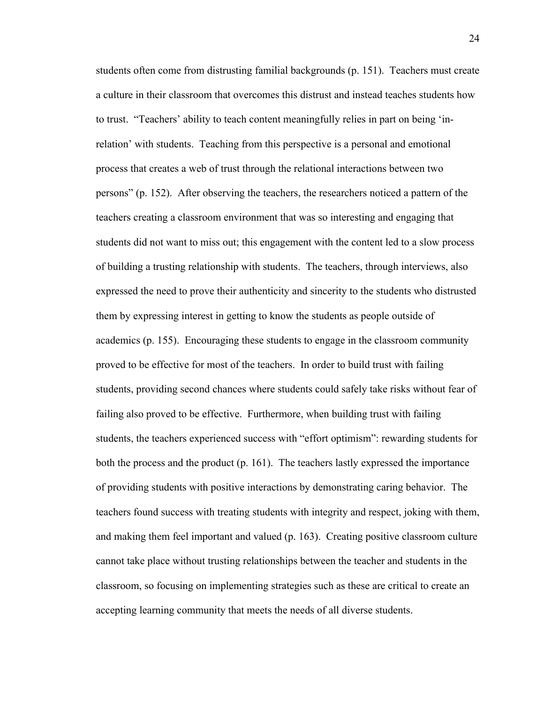students often come from distrusting familial backgrounds (p. 151). Teachers must create a culture in their classroom that overcomes this distrust and instead teaches students how to trust. "Teachers' ability to teach content meaningfully relies in part on being 'inrelation' with students. Teaching from this perspective is a personal and emotional process that creates a web of trust through the relational interactions between two persons" (p. 152). After observing the teachers, the researchers noticed a pattern of the teachers creating a classroom environment that was so interesting and engaging that students did not want to miss out; this engagement with the content led to a slow process of building a trusting relationship with students. The teachers, through interviews, also expressed the need to prove their authenticity and sincerity to the students who distrusted them by expressing interest in getting to know the students as people outside of academics (p. 155). Encouraging these students to engage in the classroom community proved to be effective for most of the teachers. In order to build trust with failing students, providing second chances where students could safely take risks without fear of failing also proved to be effective. Furthermore, when building trust with failing students, the teachers experienced success with "effort optimism": rewarding students for both the process and the product (p. 161). The teachers lastly expressed the importance of providing students with positive interactions by demonstrating caring behavior. The teachers found success with treating students with integrity and respect, joking with them, and making them feel important and valued (p. 163). Creating positive classroom culture cannot take place without trusting relationships between the teacher and students in the classroom, so focusing on implementing strategies such as these are critical to create an accepting learning community that meets the needs of all diverse students.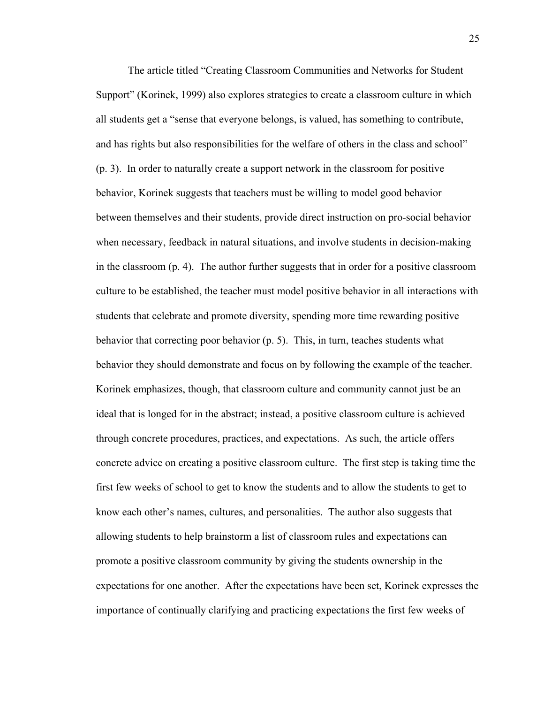The article titled "Creating Classroom Communities and Networks for Student Support" (Korinek, 1999) also explores strategies to create a classroom culture in which all students get a "sense that everyone belongs, is valued, has something to contribute, and has rights but also responsibilities for the welfare of others in the class and school" (p. 3). In order to naturally create a support network in the classroom for positive behavior, Korinek suggests that teachers must be willing to model good behavior between themselves and their students, provide direct instruction on pro-social behavior when necessary, feedback in natural situations, and involve students in decision-making in the classroom (p. 4). The author further suggests that in order for a positive classroom culture to be established, the teacher must model positive behavior in all interactions with students that celebrate and promote diversity, spending more time rewarding positive behavior that correcting poor behavior (p. 5). This, in turn, teaches students what behavior they should demonstrate and focus on by following the example of the teacher. Korinek emphasizes, though, that classroom culture and community cannot just be an ideal that is longed for in the abstract; instead, a positive classroom culture is achieved through concrete procedures, practices, and expectations. As such, the article offers concrete advice on creating a positive classroom culture. The first step is taking time the first few weeks of school to get to know the students and to allow the students to get to know each other's names, cultures, and personalities. The author also suggests that allowing students to help brainstorm a list of classroom rules and expectations can promote a positive classroom community by giving the students ownership in the expectations for one another. After the expectations have been set, Korinek expresses the importance of continually clarifying and practicing expectations the first few weeks of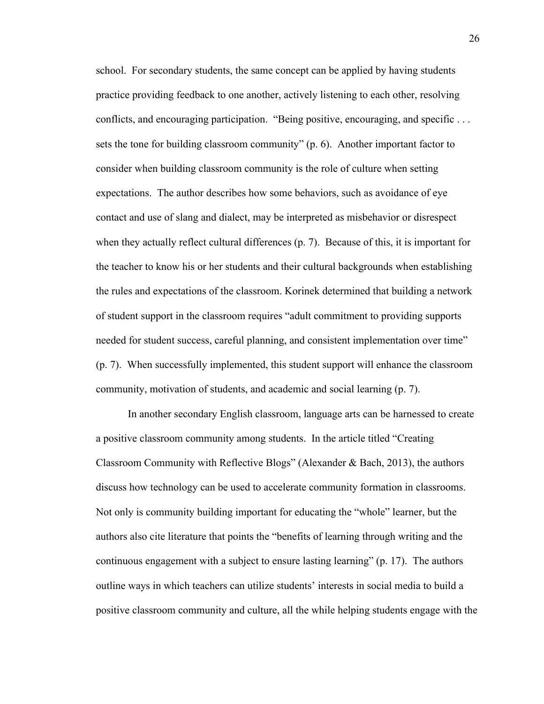school. For secondary students, the same concept can be applied by having students practice providing feedback to one another, actively listening to each other, resolving conflicts, and encouraging participation. "Being positive, encouraging, and specific . . . sets the tone for building classroom community" (p. 6). Another important factor to consider when building classroom community is the role of culture when setting expectations. The author describes how some behaviors, such as avoidance of eye contact and use of slang and dialect, may be interpreted as misbehavior or disrespect when they actually reflect cultural differences (p. 7). Because of this, it is important for the teacher to know his or her students and their cultural backgrounds when establishing the rules and expectations of the classroom. Korinek determined that building a network of student support in the classroom requires "adult commitment to providing supports needed for student success, careful planning, and consistent implementation over time" (p. 7). When successfully implemented, this student support will enhance the classroom community, motivation of students, and academic and social learning (p. 7).

In another secondary English classroom, language arts can be harnessed to create a positive classroom community among students. In the article titled "Creating Classroom Community with Reflective Blogs" (Alexander & Bach, 2013), the authors discuss how technology can be used to accelerate community formation in classrooms. Not only is community building important for educating the "whole" learner, but the authors also cite literature that points the "benefits of learning through writing and the continuous engagement with a subject to ensure lasting learning" (p. 17). The authors outline ways in which teachers can utilize students' interests in social media to build a positive classroom community and culture, all the while helping students engage with the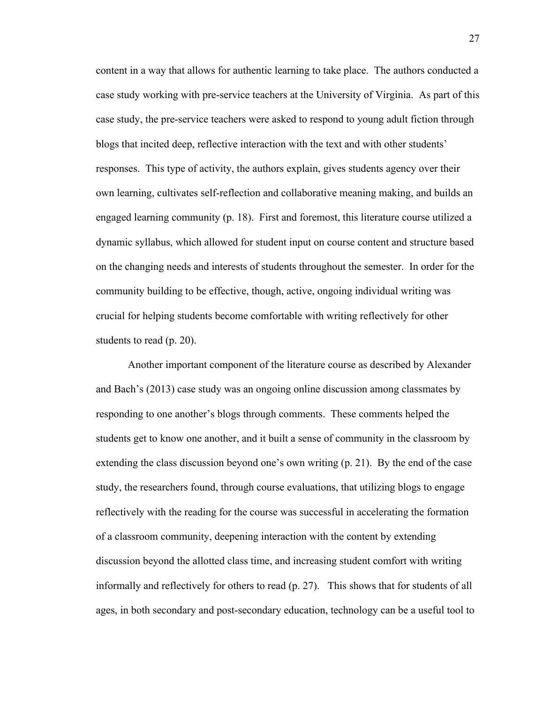content in a way that allows for authentic learning to take place. The authors conducted a case study working with pre-service teachers at the University of Virginia. As part of this case study, the pre-service teachers were asked to respond to young adult fiction through blogs that incited deep, reflective interaction with the text and with other students' responses. This type of activity, the authors explain, gives students agency over their own learning, cultivates self-reflection and collaborative meaning making, and builds an engaged learning community (p. 18). First and foremost, this literature course utilized a dynamic syllabus, which allowed for student input on course content and structure based on the changing needs and interests of students throughout the semester. In order for the community building to be effective, though, active, ongoing individual writing was crucial for helping students become comfortable with writing reflectively for other students to read (p. 20).

Another important component of the literature course as described by Alexander and Bach's (2013) case study was an ongoing online discussion among classmates by responding to one another's blogs through comments. These comments helped the students get to know one another, and it built a sense of community in the classroom by extending the class discussion beyond one's own writing (p. 21). By the end of the case study, the researchers found, through course evaluations, that utilizing blogs to engage reflectively with the reading for the course was successful in accelerating the formation of a classroom community, deepening interaction with the content by extending discussion beyond the allotted class time, and increasing student comfort with writing informally and reflectively for others to read (p. 27). This shows that for students of all ages, in both secondary and post-secondary education, technology can be a useful tool to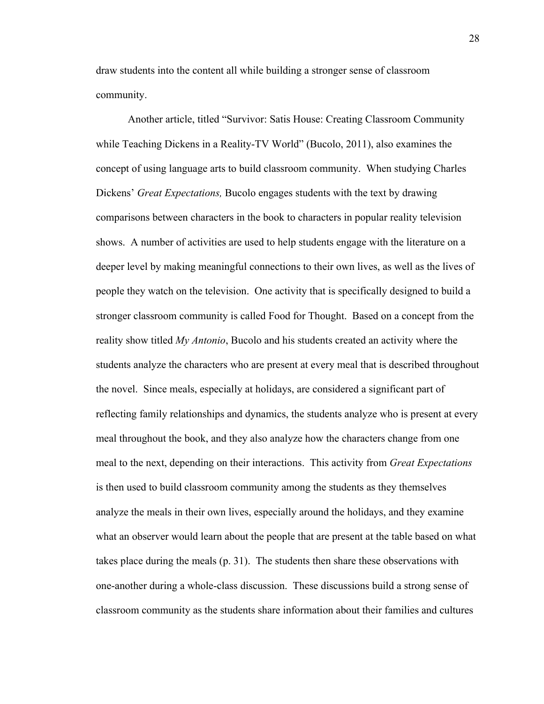draw students into the content all while building a stronger sense of classroom community.

Another article, titled "Survivor: Satis House: Creating Classroom Community while Teaching Dickens in a Reality-TV World" (Bucolo, 2011), also examines the concept of using language arts to build classroom community. When studying Charles Dickens' *Great Expectations,* Bucolo engages students with the text by drawing comparisons between characters in the book to characters in popular reality television shows. A number of activities are used to help students engage with the literature on a deeper level by making meaningful connections to their own lives, as well as the lives of people they watch on the television. One activity that is specifically designed to build a stronger classroom community is called Food for Thought. Based on a concept from the reality show titled *My Antonio*, Bucolo and his students created an activity where the students analyze the characters who are present at every meal that is described throughout the novel. Since meals, especially at holidays, are considered a significant part of reflecting family relationships and dynamics, the students analyze who is present at every meal throughout the book, and they also analyze how the characters change from one meal to the next, depending on their interactions. This activity from *Great Expectations* is then used to build classroom community among the students as they themselves analyze the meals in their own lives, especially around the holidays, and they examine what an observer would learn about the people that are present at the table based on what takes place during the meals (p. 31). The students then share these observations with one-another during a whole-class discussion. These discussions build a strong sense of classroom community as the students share information about their families and cultures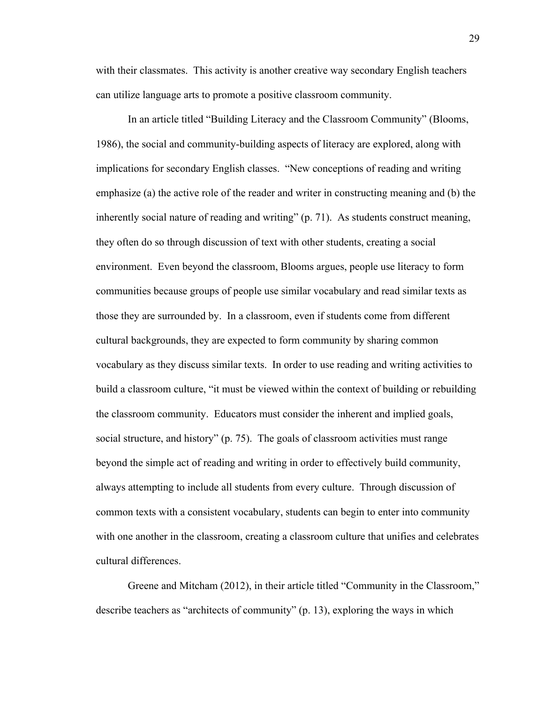with their classmates. This activity is another creative way secondary English teachers can utilize language arts to promote a positive classroom community.

In an article titled "Building Literacy and the Classroom Community" (Blooms, 1986), the social and community-building aspects of literacy are explored, along with implications for secondary English classes. "New conceptions of reading and writing emphasize (a) the active role of the reader and writer in constructing meaning and (b) the inherently social nature of reading and writing" (p. 71). As students construct meaning, they often do so through discussion of text with other students, creating a social environment. Even beyond the classroom, Blooms argues, people use literacy to form communities because groups of people use similar vocabulary and read similar texts as those they are surrounded by. In a classroom, even if students come from different cultural backgrounds, they are expected to form community by sharing common vocabulary as they discuss similar texts. In order to use reading and writing activities to build a classroom culture, "it must be viewed within the context of building or rebuilding the classroom community. Educators must consider the inherent and implied goals, social structure, and history" (p. 75). The goals of classroom activities must range beyond the simple act of reading and writing in order to effectively build community, always attempting to include all students from every culture. Through discussion of common texts with a consistent vocabulary, students can begin to enter into community with one another in the classroom, creating a classroom culture that unifies and celebrates cultural differences.

Greene and Mitcham (2012), in their article titled "Community in the Classroom," describe teachers as "architects of community" (p. 13), exploring the ways in which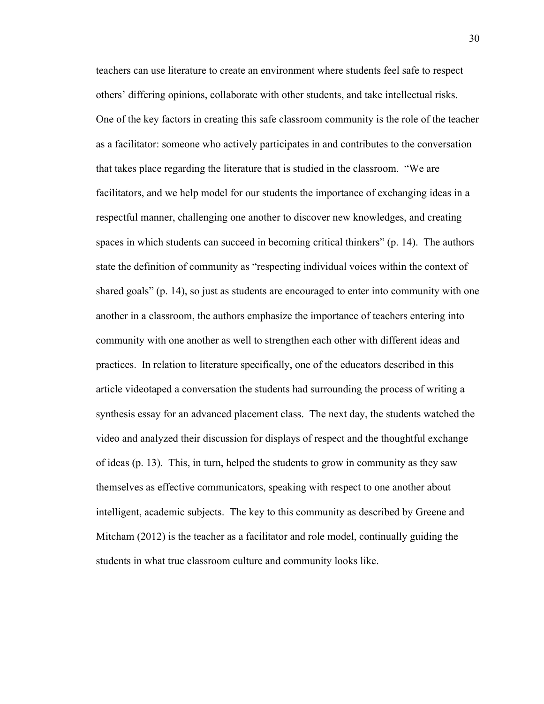teachers can use literature to create an environment where students feel safe to respect others' differing opinions, collaborate with other students, and take intellectual risks. One of the key factors in creating this safe classroom community is the role of the teacher as a facilitator: someone who actively participates in and contributes to the conversation that takes place regarding the literature that is studied in the classroom. "We are facilitators, and we help model for our students the importance of exchanging ideas in a respectful manner, challenging one another to discover new knowledges, and creating spaces in which students can succeed in becoming critical thinkers" (p. 14). The authors state the definition of community as "respecting individual voices within the context of shared goals" (p. 14), so just as students are encouraged to enter into community with one another in a classroom, the authors emphasize the importance of teachers entering into community with one another as well to strengthen each other with different ideas and practices. In relation to literature specifically, one of the educators described in this article videotaped a conversation the students had surrounding the process of writing a synthesis essay for an advanced placement class. The next day, the students watched the video and analyzed their discussion for displays of respect and the thoughtful exchange of ideas (p. 13). This, in turn, helped the students to grow in community as they saw themselves as effective communicators, speaking with respect to one another about intelligent, academic subjects. The key to this community as described by Greene and Mitcham (2012) is the teacher as a facilitator and role model, continually guiding the students in what true classroom culture and community looks like.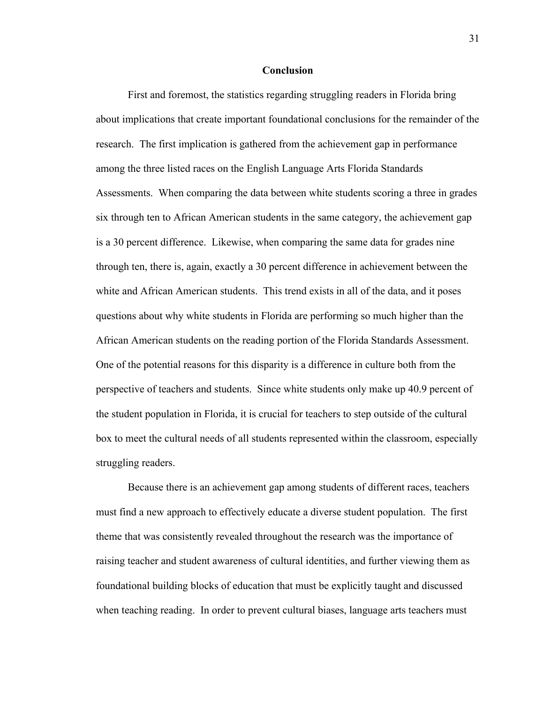#### **Conclusion**

First and foremost, the statistics regarding struggling readers in Florida bring about implications that create important foundational conclusions for the remainder of the research. The first implication is gathered from the achievement gap in performance among the three listed races on the English Language Arts Florida Standards Assessments. When comparing the data between white students scoring a three in grades six through ten to African American students in the same category, the achievement gap is a 30 percent difference. Likewise, when comparing the same data for grades nine through ten, there is, again, exactly a 30 percent difference in achievement between the white and African American students. This trend exists in all of the data, and it poses questions about why white students in Florida are performing so much higher than the African American students on the reading portion of the Florida Standards Assessment. One of the potential reasons for this disparity is a difference in culture both from the perspective of teachers and students. Since white students only make up 40.9 percent of the student population in Florida, it is crucial for teachers to step outside of the cultural box to meet the cultural needs of all students represented within the classroom, especially struggling readers.

Because there is an achievement gap among students of different races, teachers must find a new approach to effectively educate a diverse student population. The first theme that was consistently revealed throughout the research was the importance of raising teacher and student awareness of cultural identities, and further viewing them as foundational building blocks of education that must be explicitly taught and discussed when teaching reading. In order to prevent cultural biases, language arts teachers must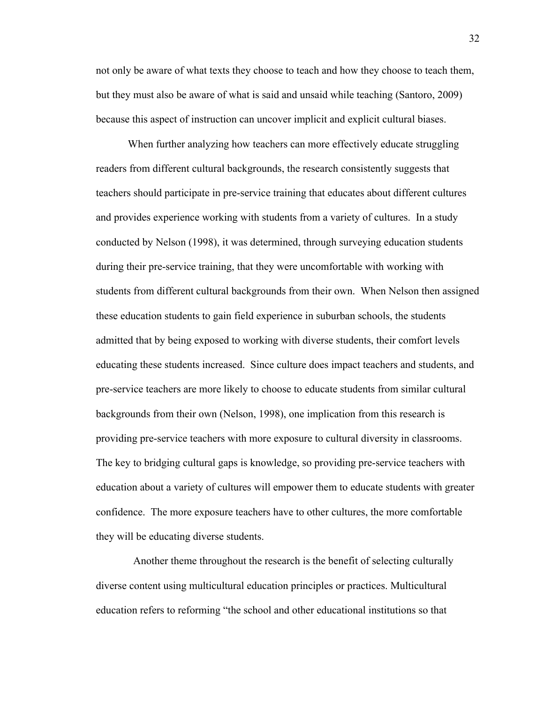not only be aware of what texts they choose to teach and how they choose to teach them, but they must also be aware of what is said and unsaid while teaching (Santoro, 2009) because this aspect of instruction can uncover implicit and explicit cultural biases.

When further analyzing how teachers can more effectively educate struggling readers from different cultural backgrounds, the research consistently suggests that teachers should participate in pre-service training that educates about different cultures and provides experience working with students from a variety of cultures. In a study conducted by Nelson (1998), it was determined, through surveying education students during their pre-service training, that they were uncomfortable with working with students from different cultural backgrounds from their own. When Nelson then assigned these education students to gain field experience in suburban schools, the students admitted that by being exposed to working with diverse students, their comfort levels educating these students increased. Since culture does impact teachers and students, and pre-service teachers are more likely to choose to educate students from similar cultural backgrounds from their own (Nelson, 1998), one implication from this research is providing pre-service teachers with more exposure to cultural diversity in classrooms. The key to bridging cultural gaps is knowledge, so providing pre-service teachers with education about a variety of cultures will empower them to educate students with greater confidence. The more exposure teachers have to other cultures, the more comfortable they will be educating diverse students.

Another theme throughout the research is the benefit of selecting culturally diverse content using multicultural education principles or practices. Multicultural education refers to reforming "the school and other educational institutions so that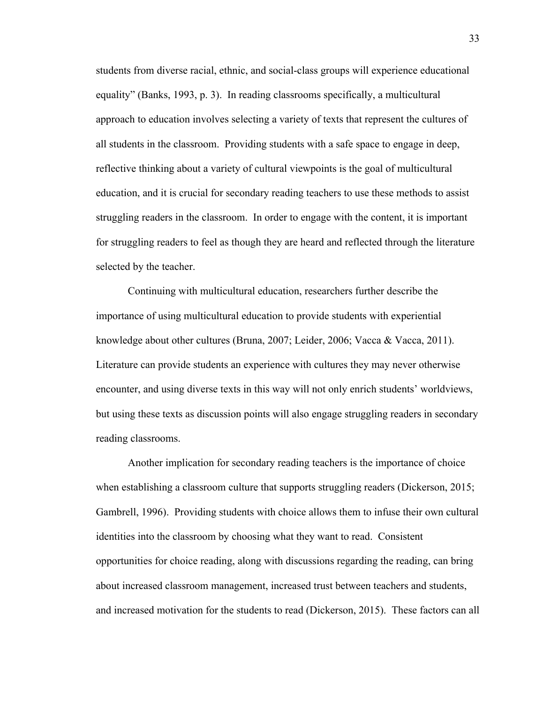students from diverse racial, ethnic, and social-class groups will experience educational equality" (Banks, 1993, p. 3). In reading classrooms specifically, a multicultural approach to education involves selecting a variety of texts that represent the cultures of all students in the classroom. Providing students with a safe space to engage in deep, reflective thinking about a variety of cultural viewpoints is the goal of multicultural education, and it is crucial for secondary reading teachers to use these methods to assist struggling readers in the classroom. In order to engage with the content, it is important for struggling readers to feel as though they are heard and reflected through the literature selected by the teacher.

Continuing with multicultural education, researchers further describe the importance of using multicultural education to provide students with experiential knowledge about other cultures (Bruna, 2007; Leider, 2006; Vacca & Vacca, 2011). Literature can provide students an experience with cultures they may never otherwise encounter, and using diverse texts in this way will not only enrich students' worldviews, but using these texts as discussion points will also engage struggling readers in secondary reading classrooms.

Another implication for secondary reading teachers is the importance of choice when establishing a classroom culture that supports struggling readers (Dickerson, 2015; Gambrell, 1996). Providing students with choice allows them to infuse their own cultural identities into the classroom by choosing what they want to read. Consistent opportunities for choice reading, along with discussions regarding the reading, can bring about increased classroom management, increased trust between teachers and students, and increased motivation for the students to read (Dickerson, 2015). These factors can all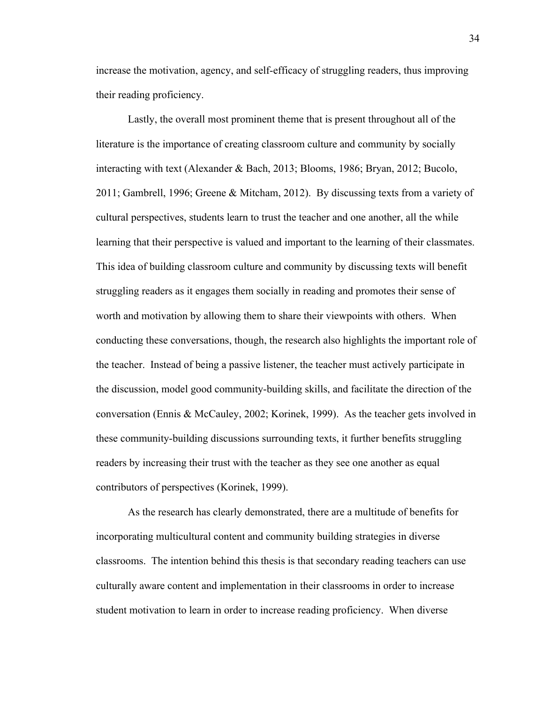increase the motivation, agency, and self-efficacy of struggling readers, thus improving their reading proficiency.

Lastly, the overall most prominent theme that is present throughout all of the literature is the importance of creating classroom culture and community by socially interacting with text (Alexander & Bach, 2013; Blooms, 1986; Bryan, 2012; Bucolo, 2011; Gambrell, 1996; Greene & Mitcham, 2012). By discussing texts from a variety of cultural perspectives, students learn to trust the teacher and one another, all the while learning that their perspective is valued and important to the learning of their classmates. This idea of building classroom culture and community by discussing texts will benefit struggling readers as it engages them socially in reading and promotes their sense of worth and motivation by allowing them to share their viewpoints with others. When conducting these conversations, though, the research also highlights the important role of the teacher. Instead of being a passive listener, the teacher must actively participate in the discussion, model good community-building skills, and facilitate the direction of the conversation (Ennis & McCauley, 2002; Korinek, 1999). As the teacher gets involved in these community-building discussions surrounding texts, it further benefits struggling readers by increasing their trust with the teacher as they see one another as equal contributors of perspectives (Korinek, 1999).

As the research has clearly demonstrated, there are a multitude of benefits for incorporating multicultural content and community building strategies in diverse classrooms. The intention behind this thesis is that secondary reading teachers can use culturally aware content and implementation in their classrooms in order to increase student motivation to learn in order to increase reading proficiency. When diverse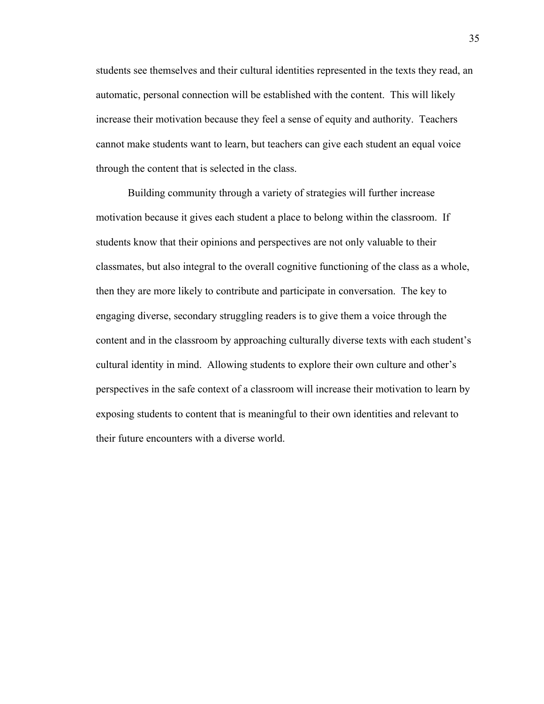students see themselves and their cultural identities represented in the texts they read, an automatic, personal connection will be established with the content. This will likely increase their motivation because they feel a sense of equity and authority. Teachers cannot make students want to learn, but teachers can give each student an equal voice through the content that is selected in the class.

Building community through a variety of strategies will further increase motivation because it gives each student a place to belong within the classroom. If students know that their opinions and perspectives are not only valuable to their classmates, but also integral to the overall cognitive functioning of the class as a whole, then they are more likely to contribute and participate in conversation. The key to engaging diverse, secondary struggling readers is to give them a voice through the content and in the classroom by approaching culturally diverse texts with each student's cultural identity in mind. Allowing students to explore their own culture and other's perspectives in the safe context of a classroom will increase their motivation to learn by exposing students to content that is meaningful to their own identities and relevant to their future encounters with a diverse world.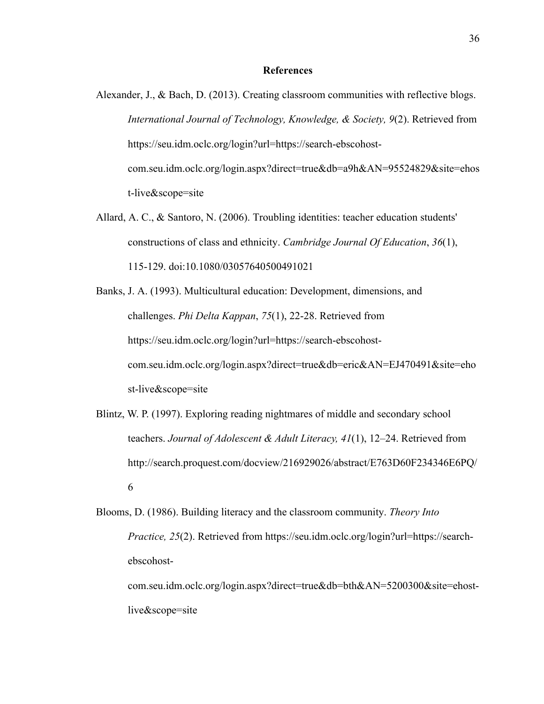- Alexander, J., & Bach, D. (2013). Creating classroom communities with reflective blogs. *International Journal of Technology, Knowledge, & Society, 9*(2). Retrieved from https://seu.idm.oclc.org/login?url=https://search-ebscohostcom.seu.idm.oclc.org/login.aspx?direct=true&db=a9h&AN=95524829&site=ehos t-live&scope=site
- Allard, A. C., & Santoro, N. (2006). Troubling identities: teacher education students' constructions of class and ethnicity. *Cambridge Journal Of Education*, *36*(1), 115-129. doi:10.1080/03057640500491021
- Banks, J. A. (1993). Multicultural education: Development, dimensions, and challenges. *Phi Delta Kappan*, *75*(1), 22-28. Retrieved from https://seu.idm.oclc.org/login?url=https://search-ebscohostcom.seu.idm.oclc.org/login.aspx?direct=true&db=eric&AN=EJ470491&site=eho st-live&scope=site
- Blintz, W. P. (1997). Exploring reading nightmares of middle and secondary school teachers. *Journal of Adolescent & Adult Literacy, 41*(1), 12–24. Retrieved from http://search.proquest.com/docview/216929026/abstract/E763D60F234346E6PQ/ 6
- Blooms, D. (1986). Building literacy and the classroom community. *Theory Into Practice, 25*(2). Retrieved from https://seu.idm.oclc.org/login?url=https://searchebscohost-

com.seu.idm.oclc.org/login.aspx?direct=true&db=bth&AN=5200300&site=ehostlive&scope=site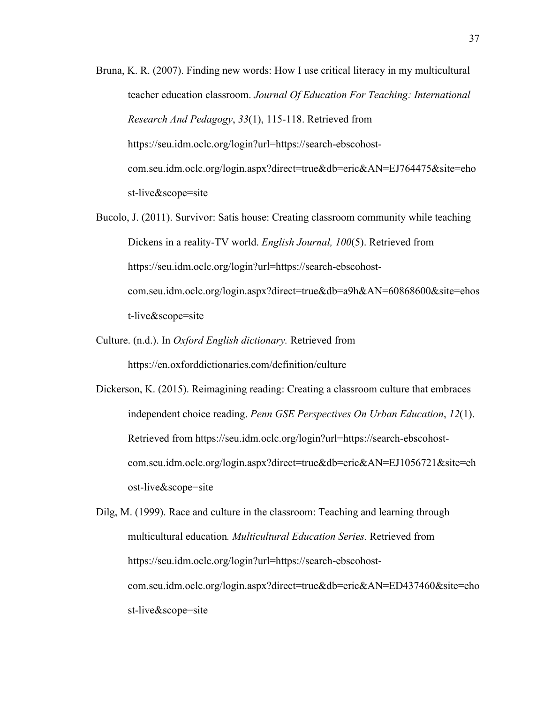- Bruna, K. R. (2007). Finding new words: How I use critical literacy in my multicultural teacher education classroom. *Journal Of Education For Teaching: International Research And Pedagogy*, *33*(1), 115-118. Retrieved from https://seu.idm.oclc.org/login?url=https://search-ebscohostcom.seu.idm.oclc.org/login.aspx?direct=true&db=eric&AN=EJ764475&site=eho st-live&scope=site
- Bucolo, J. (2011). Survivor: Satis house: Creating classroom community while teaching Dickens in a reality-TV world. *English Journal, 100*(5). Retrieved from https://seu.idm.oclc.org/login?url=https://search-ebscohostcom.seu.idm.oclc.org/login.aspx?direct=true&db=a9h&AN=60868600&site=ehos t-live&scope=site
- Culture. (n.d.). In *Oxford English dictionary.* Retrieved from https://en.oxforddictionaries.com/definition/culture
- Dickerson, K. (2015). Reimagining reading: Creating a classroom culture that embraces independent choice reading. *Penn GSE Perspectives On Urban Education*, *12*(1). Retrieved from https://seu.idm.oclc.org/login?url=https://search-ebscohostcom.seu.idm.oclc.org/login.aspx?direct=true&db=eric&AN=EJ1056721&site=eh ost-live&scope=site

Dilg, M. (1999). Race and culture in the classroom: Teaching and learning through multicultural education*. Multicultural Education Series.* Retrieved from https://seu.idm.oclc.org/login?url=https://search-ebscohostcom.seu.idm.oclc.org/login.aspx?direct=true&db=eric&AN=ED437460&site=eho st-live&scope=site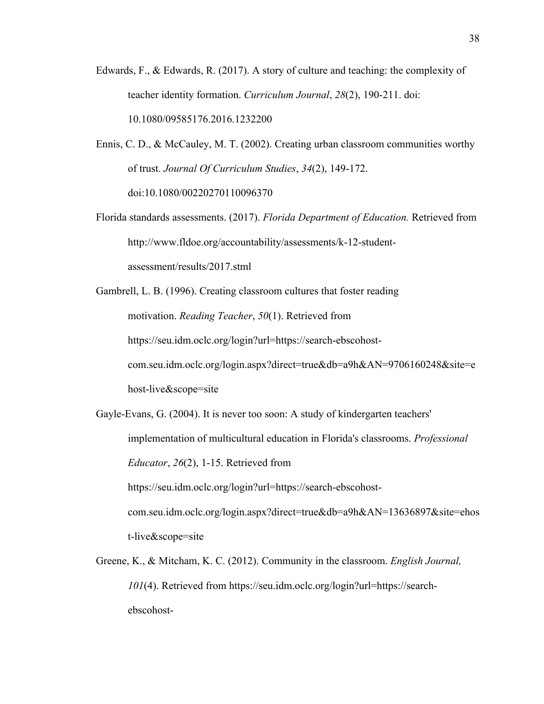- Edwards, F., & Edwards, R. (2017). A story of culture and teaching: the complexity of teacher identity formation. *Curriculum Journal*, *28*(2), 190-211. doi: 10.1080/09585176.2016.1232200
- Ennis, C. D., & McCauley, M. T. (2002). Creating urban classroom communities worthy of trust. *Journal Of Curriculum Studies*, *34*(2), 149-172. doi:10.1080/00220270110096370
- Florida standards assessments. (2017). *Florida Department of Education.* Retrieved from http://www.fldoe.org/accountability/assessments/k-12-studentassessment/results/2017.stml
- Gambrell, L. B. (1996). Creating classroom cultures that foster reading motivation. *Reading Teacher*, *50*(1). Retrieved from https://seu.idm.oclc.org/login?url=https://search-ebscohostcom.seu.idm.oclc.org/login.aspx?direct=true&db=a9h&AN=9706160248&site=e host-live&scope=site
- Gayle-Evans, G. (2004). It is never too soon: A study of kindergarten teachers' implementation of multicultural education in Florida's classrooms. *Professional Educator*, *26*(2), 1-15. Retrieved from https://seu.idm.oclc.org/login?url=https://search-ebscohostcom.seu.idm.oclc.org/login.aspx?direct=true&db=a9h&AN=13636897&site=ehos t-live&scope=site
- Greene, K., & Mitcham, K. C. (2012). Community in the classroom. *English Journal, 101*(4). Retrieved from https://seu.idm.oclc.org/login?url=https://searchebscohost-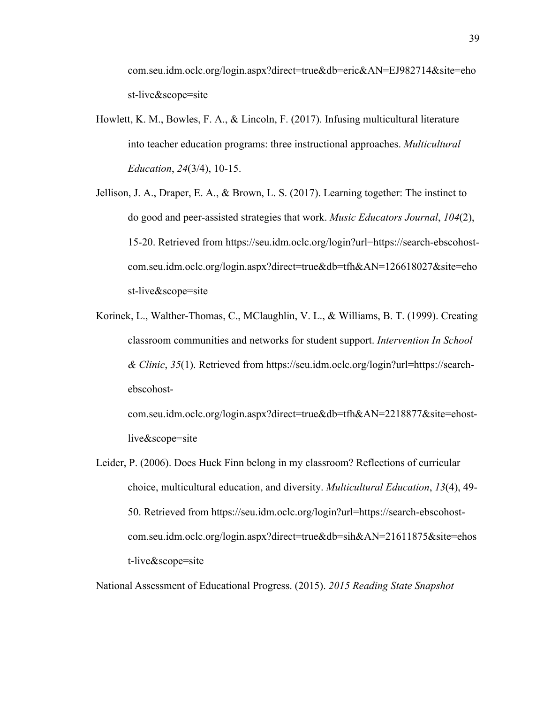com.seu.idm.oclc.org/login.aspx?direct=true&db=eric&AN=EJ982714&site=eho st-live&scope=site

- Howlett, K. M., Bowles, F. A., & Lincoln, F. (2017). Infusing multicultural literature into teacher education programs: three instructional approaches. *Multicultural Education*, *24*(3/4), 10-15.
- Jellison, J. A., Draper, E. A., & Brown, L. S. (2017). Learning together: The instinct to do good and peer-assisted strategies that work. *Music Educators Journal*, *104*(2), 15-20. Retrieved from https://seu.idm.oclc.org/login?url=https://search-ebscohostcom.seu.idm.oclc.org/login.aspx?direct=true&db=tfh&AN=126618027&site=eho st-live&scope=site
- Korinek, L., Walther-Thomas, C., MClaughlin, V. L., & Williams, B. T. (1999). Creating classroom communities and networks for student support. *Intervention In School & Clinic*, *35*(1). Retrieved from https://seu.idm.oclc.org/login?url=https://searchebscohost-

com.seu.idm.oclc.org/login.aspx?direct=true&db=tfh&AN=2218877&site=ehostlive&scope=site

Leider, P. (2006). Does Huck Finn belong in my classroom? Reflections of curricular choice, multicultural education, and diversity. *Multicultural Education*, *13*(4), 49- 50. Retrieved from https://seu.idm.oclc.org/login?url=https://search-ebscohostcom.seu.idm.oclc.org/login.aspx?direct=true&db=sih&AN=21611875&site=ehos t-live&scope=site

National Assessment of Educational Progress. (2015). *2015 Reading State Snapshot*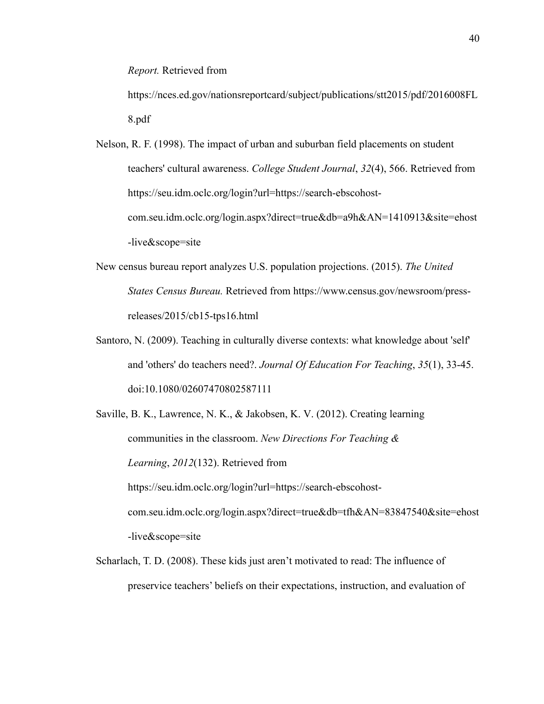*Report.* Retrieved from

https://nces.ed.gov/nationsreportcard/subject/publications/stt2015/pdf/2016008FL 8.pdf

- Nelson, R. F. (1998). The impact of urban and suburban field placements on student teachers' cultural awareness. *College Student Journal*, *32*(4), 566. Retrieved from https://seu.idm.oclc.org/login?url=https://search-ebscohostcom.seu.idm.oclc.org/login.aspx?direct=true&db=a9h&AN=1410913&site=ehost -live&scope=site
- New census bureau report analyzes U.S. population projections. (2015). *The United States Census Bureau.* Retrieved from https://www.census.gov/newsroom/pressreleases/2015/cb15-tps16.html
- Santoro, N. (2009). Teaching in culturally diverse contexts: what knowledge about 'self' and 'others' do teachers need?. *Journal Of Education For Teaching*, *35*(1), 33-45. doi:10.1080/02607470802587111
- Saville, B. K., Lawrence, N. K., & Jakobsen, K. V. (2012). Creating learning communities in the classroom. *New Directions For Teaching & Learning*, *2012*(132). Retrieved from https://seu.idm.oclc.org/login?url=https://search-ebscohostcom.seu.idm.oclc.org/login.aspx?direct=true&db=tfh&AN=83847540&site=ehost -live&scope=site
- Scharlach, T. D. (2008). These kids just aren't motivated to read: The influence of preservice teachers' beliefs on their expectations, instruction, and evaluation of